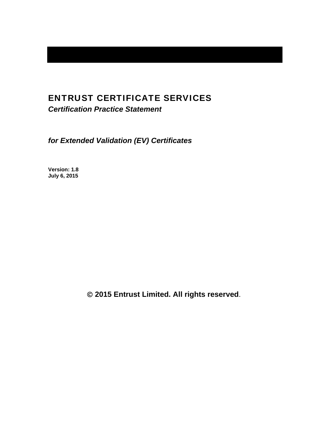# ENTRUST CERTIFICATE SERVICES

*Certification Practice Statement* 

*for Extended Validation (EV) Certificates* 

**Version: 1.8 July 6, 2015** 

 **2015 Entrust Limited. All rights reserved**.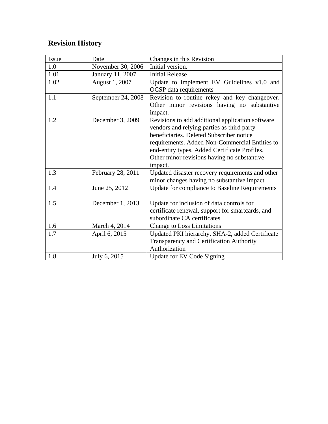# **Revision History**

| Issue | Date               | Changes in this Revision                         |  |  |
|-------|--------------------|--------------------------------------------------|--|--|
|       |                    |                                                  |  |  |
| 1.0   | November 30, 2006  | Initial version.                                 |  |  |
| 1.01  | January 11, 2007   | <b>Initial Release</b>                           |  |  |
| 1.02  | August 1, 2007     | Update to implement EV Guidelines v1.0 and       |  |  |
|       |                    | <b>OCSP</b> data requirements                    |  |  |
| 1.1   | September 24, 2008 | Revision to routine rekey and key changeover.    |  |  |
|       |                    | Other minor revisions having no substantive      |  |  |
|       |                    | impact.                                          |  |  |
| 1.2   | December 3, 2009   | Revisions to add additional application software |  |  |
|       |                    | vendors and relying parties as third party       |  |  |
|       |                    | beneficiaries. Deleted Subscriber notice         |  |  |
|       |                    | requirements. Added Non-Commercial Entities to   |  |  |
|       |                    | end-entity types. Added Certificate Profiles.    |  |  |
|       |                    | Other minor revisions having no substantive      |  |  |
|       |                    | impact.                                          |  |  |
| 1.3   | February 28, 2011  | Updated disaster recovery requirements and other |  |  |
|       |                    | minor changes having no substantive impact.      |  |  |
| 1.4   | June 25, 2012      | Update for compliance to Baseline Requirements   |  |  |
|       |                    |                                                  |  |  |
| 1.5   | December 1, 2013   | Update for inclusion of data controls for        |  |  |
|       |                    | certificate renewal, support for smartcards, and |  |  |
|       |                    | subordinate CA certificates                      |  |  |
| 1.6   | March 4, 2014      | <b>Change to Loss Limitations</b>                |  |  |
| 1.7   | April 6, 2015      | Updated PKI hierarchy, SHA-2, added Certificate  |  |  |
|       |                    | Transparency and Certification Authority         |  |  |
|       |                    | Authorization                                    |  |  |
| 1.8   | July 6, 2015       | <b>Update for EV Code Signing</b>                |  |  |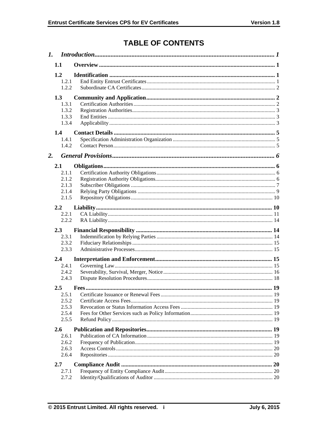# **TABLE OF CONTENTS**

| 1. |                |  |  |  |
|----|----------------|--|--|--|
|    | 1.1            |  |  |  |
|    | 1.2            |  |  |  |
|    | 1.2.1          |  |  |  |
|    | 1.2.2          |  |  |  |
|    | 1.3            |  |  |  |
|    | 1.3.1          |  |  |  |
|    | 1.3.2          |  |  |  |
|    | 1.3.3          |  |  |  |
|    | 1.3.4          |  |  |  |
|    | 1.4            |  |  |  |
|    | 1.4.1          |  |  |  |
|    | 1.4.2          |  |  |  |
| 2. |                |  |  |  |
|    | 2.1            |  |  |  |
|    | 2.1.1          |  |  |  |
|    | 2.1.2          |  |  |  |
|    | 2.1.3          |  |  |  |
|    | 2.1.4          |  |  |  |
|    | 2.1.5          |  |  |  |
|    | 2.2            |  |  |  |
|    | 2.2.1          |  |  |  |
|    | 2.2.2          |  |  |  |
|    | 2.3            |  |  |  |
|    | 2.3.1          |  |  |  |
|    | 2.3.2          |  |  |  |
|    | 2.3.3          |  |  |  |
|    | 2.4            |  |  |  |
|    | 2.4.1          |  |  |  |
|    | 2.4.2          |  |  |  |
|    | 2.4.3          |  |  |  |
|    | 2.5            |  |  |  |
|    | 2.5.1          |  |  |  |
|    | 2.5.2<br>2.5.3 |  |  |  |
|    | 2.5.4          |  |  |  |
|    | 2.5.5          |  |  |  |
|    |                |  |  |  |
|    | 2.6<br>2.6.1   |  |  |  |
|    | 2.6.2          |  |  |  |
|    | 2.6.3          |  |  |  |
|    | 2.6.4          |  |  |  |
|    | 2.7            |  |  |  |
|    | 2.7.1          |  |  |  |
|    | 2.7.2          |  |  |  |
|    |                |  |  |  |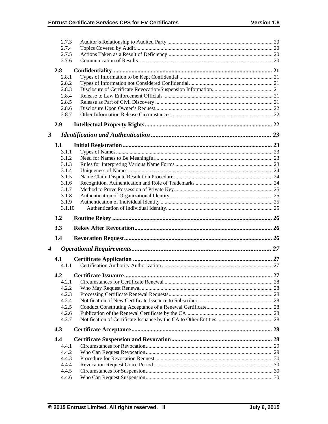|                      | 2.7.3          |  |
|----------------------|----------------|--|
|                      | 2.7.4          |  |
|                      | 2.7.5          |  |
|                      | 2.7.6          |  |
|                      | 2.8            |  |
|                      | 2.8.1          |  |
|                      | 2.8.2          |  |
|                      | 2.8.3          |  |
|                      | 2.8.4          |  |
|                      | 2.8.5          |  |
|                      | 2.8.6          |  |
|                      | 2.8.7          |  |
|                      | 2.9            |  |
| $\boldsymbol{\beta}$ |                |  |
|                      | <b>3.1</b>     |  |
|                      | 3.1.1          |  |
|                      | 3.1.2          |  |
|                      | 3.1.3          |  |
|                      | 3.1.4          |  |
|                      | 3.1.5          |  |
|                      | 3.1.6          |  |
|                      | 3.1.7          |  |
|                      | 3.1.8          |  |
|                      | 3.1.9          |  |
|                      | 3.1.10         |  |
|                      |                |  |
|                      | 3.2            |  |
|                      | 3.3            |  |
|                      | 3.4            |  |
| $\boldsymbol{4}$     |                |  |
|                      | 4.1            |  |
|                      | 4.1.1          |  |
|                      | 4.2            |  |
|                      | 4.2.1          |  |
|                      | 4.2.2          |  |
|                      | 4.2.3          |  |
|                      | 4.2.4          |  |
|                      | 4.2.5          |  |
|                      | 4.2.6          |  |
|                      | 4.2.7          |  |
|                      | 4.3            |  |
|                      | 4.4            |  |
|                      | 4.4.1          |  |
|                      | 4.4.2          |  |
|                      | 4.4.3          |  |
|                      | 4.4.4          |  |
|                      | 4.4.5<br>4.4.6 |  |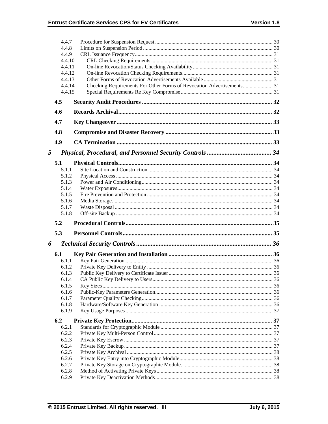|   | 4.4.7            |  |
|---|------------------|--|
|   | 4.4.8            |  |
|   | 4.4.9            |  |
|   | 4.4.10           |  |
|   | 4.4.11<br>4.4.12 |  |
|   | 4.4.13           |  |
|   | 4.4.14           |  |
|   | 4.4.15           |  |
|   | 4.5              |  |
|   | 4.6              |  |
|   | 4.7              |  |
|   | 4.8              |  |
|   | 4.9              |  |
| 5 |                  |  |
|   | 5.1              |  |
|   | 5.1.1            |  |
|   | 5.1.2            |  |
|   | 5.1.3            |  |
|   | 5.1.4            |  |
|   | 5.1.5            |  |
|   | 5.1.6            |  |
|   | 5.1.7            |  |
|   | 5.1.8            |  |
|   | 5.2              |  |
|   | 5.3              |  |
| 6 |                  |  |
|   | 6.1              |  |
|   | 6.1.1            |  |
|   | 6.1.2            |  |
|   | 6.1.3            |  |
|   | 6.1.4            |  |
|   | 6.1.5            |  |
|   | 6.1.6            |  |
|   | 6.1.7            |  |
|   | 6.1.8<br>6.1.9   |  |
|   | 6.2              |  |
|   | 6.2.1            |  |
|   | 6.2.2            |  |
|   | 6.2.3            |  |
|   |                  |  |
|   | 6.2.4            |  |
|   | 6.2.5            |  |
|   | 6.2.6            |  |
|   | 6.2.7            |  |
|   | 6.2.8<br>6.2.9   |  |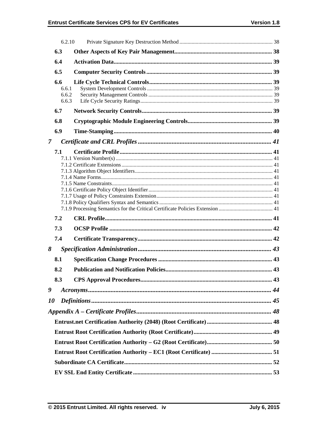|                | 6.2.10                         |                                                                                |  |
|----------------|--------------------------------|--------------------------------------------------------------------------------|--|
|                | 6.3                            |                                                                                |  |
|                | 6.4                            |                                                                                |  |
|                | 6.5                            |                                                                                |  |
|                | 6.6<br>6.6.1<br>6.6.2<br>6.6.3 |                                                                                |  |
|                | 6.7                            |                                                                                |  |
|                | 6.8                            |                                                                                |  |
|                | 6.9                            |                                                                                |  |
| $\overline{7}$ |                                |                                                                                |  |
|                | 7.1                            | 7.1.9 Processing Semantics for the Critical Certificate Policies Extension  41 |  |
|                | 7.2                            |                                                                                |  |
|                | 7.3                            |                                                                                |  |
|                | 7.4                            |                                                                                |  |
| 8              |                                |                                                                                |  |
|                | 8.1                            |                                                                                |  |
|                | 8.2                            |                                                                                |  |
|                | 8.3                            |                                                                                |  |
| 9              |                                |                                                                                |  |
| 10             |                                |                                                                                |  |
|                |                                |                                                                                |  |
|                |                                |                                                                                |  |
|                |                                |                                                                                |  |
|                |                                |                                                                                |  |
|                |                                |                                                                                |  |
|                |                                |                                                                                |  |
|                |                                |                                                                                |  |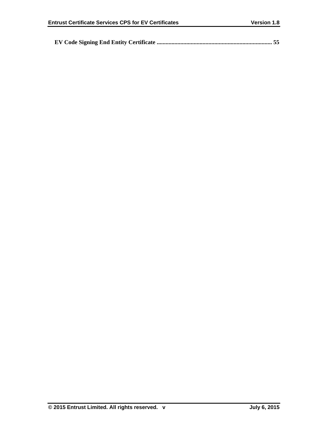|--|--|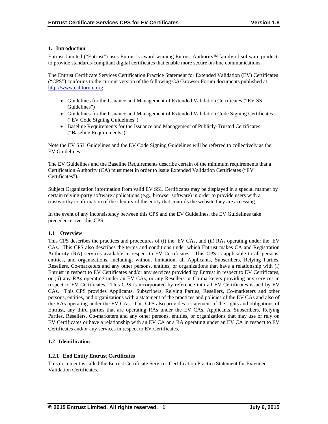# **1. Introduction**

Entrust Limited ("Entrust") uses Entrust's award winning Entrust Authority family of software products to provide standards-compliant digital certificates that enable more secure on-line communications.

The Entrust Certificate Services Certification Practice Statement for Extended Validation (EV) Certificates ("CPS") conforms to the current version of the following CA/Browser Forum documents published at http://www.cabforum.org:

- Guidelines for the Issuance and Management of Extended Validation Certificates ("EV SSL Guidelines")
- Guidelines for the Issuance and Management of Extended Validation Code Signing Certificates ("EV Code Signing Guidelines")
- Baseline Requirements for the Issuance and Management of Publicly-Trusted Certificates ("Baseline Requirements")

Note the EV SSL Guidelines and the EV Code Signing Guidelines will be referred to collectively as the EV Guidelines.

The EV Guidelines and the Baseline Requirements describe certain of the minimum requirements that a Certification Authority (CA) must meet in order to issue Extended Validation Certificates ("EV Certificates").

Subject Organization information from valid EV SSL Certificates may be displayed in a special manner by certain relying-party software applications (e.g., browser software) in order to provide users with a trustworthy confirmation of the identity of the entity that controls the website they are accessing.

In the event of any inconsistency between this CPS and the EV Guidelines, the EV Guidelines take precedence over this CPS.

## **1.1 Overview**

This CPS describes the practices and procedures of (i) the EV CAs, and (ii) RAs operating under the EV CAs. This CPS also describes the terms and conditions under which Entrust makes CA and Registration Authority (RA) services available in respect to EV Certificates. This CPS is applicable to all persons, entities, and organizations, including, without limitation, all Applicants, Subscribers, Relying Parties, Resellers, Co-marketers and any other persons, entities, or organizations that have a relationship with (i) Entrust in respect to EV Certificates and/or any services provided by Entrust in respect to EV Certificates, or (ii) any RAs operating under an EV CAs, or any Resellers or Co-marketers providing any services in respect to EV Certificates. This CPS is incorporated by reference into all EV Certificates issued by EV CAs. This CPS provides Applicants, Subscribers, Relying Parties, Resellers, Co-marketers and other persons, entities, and organizations with a statement of the practices and policies of the EV CAs and also of the RAs operating under the EV CAs. This CPS also provides a statement of the rights and obligations of Entrust, any third parties that are operating RAs under the EV CAs, Applicants, Subscribers, Relying Parties, Resellers, Co-marketers and any other persons, entities, or organizations that may use or rely on EV Certificates or have a relationship with an EV CA or a RA operating under an EV CA in respect to EV Certificates and/or any services in respect to EV Certificates.

# **1.2 Identification**

# **1.2.1 End Entity Entrust Certificates**

This document is called the Entrust Certificate Services Certification Practice Statement for Extended Validation Certificates.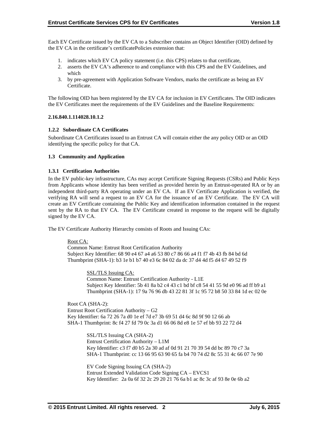Each EV Certificate issued by the EV CA to a Subscriber contains an Object Identifier (OID) defined by the EV CA in the certificate's certificatePolicies extension that:

- 1. indicates which EV CA policy statement (i.e. this CPS) relates to that certificate,
- 2. asserts the EV CA's adherence to and compliance with this CPS and the EV Guidelines, and which
- 3. by pre-agreement with Application Software Vendors, marks the certificate as being an EV Certificate.

The following OID has been registered by the EV CA for inclusion in EV Certificates. The OID indicates the EV Certificates meet the requirements of the EV Guidelines and the Baseline Requirements:

#### **2.16.840.1.114028.10.1.2**

## **1.2.2 Subordinate CA Certificates**

Subordinate CA Certificates issued to an Entrust CA will contain either the any policy OID or an OID identifying the specific policy for that CA.

#### **1.3 Community and Application**

#### **1.3.1 Certification Authorities**

In the EV public-key infrastructure, CAs may accept Certificate Signing Requests (CSRs) and Public Keys from Applicants whose identity has been verified as provided herein by an Entrust-operated RA or by an independent third-party RA operating under an EV CA. If an EV Certificate Application is verified, the verifying RA will send a request to an EV CA for the issuance of an EV Certificate. The EV CA will create an EV Certificate containing the Public Key and identification information contained in the request sent by the RA to that EV CA. The EV Certificate created in response to the request will be digitally signed by the EV CA.

The EV Certificate Authority Hierarchy consists of Roots and Issuing CAs:

#### Root CA:

Common Name: Entrust Root Certification Authority Subject Key Identifier: 68 90 e4 67 a4 a6 53 80 c7 86 66 a4 f1 f7 4b 43 fb 84 bd 6d Thumbprint (SHA-1): b3 1e b1 b7 40 e3 6c 84 02 da dc 37 d4 4d f5 d4 67 49 52 f9

> SSL/TLS Issuing CA: Common Name: Entrust Certification Authority - L1E Subject Key Identifier: 5b 41 8a b2 c4 43 c1 bd bf c8 54 41 55 9d e0 96 ad ff b9 a1 Thumbprint (SHA-1): 17 9a 76 96 db 43 22 81 3f 1c 95 72 b8 50 33 84 1d ec 02 0e

Root CA (SHA-2): Entrust Root Certification Authority – G2 Key Identifier: 6a 72 26 7a d0 1e ef 7d e7 3b 69 51 d4 6c 8d 9f 90 12 66 ab SHA-1 Thumbprint: 8c f4 27 fd 79 0c 3a d1 66 06 8d e8 1e 57 ef bb 93 22 72 d4

> SSL/TLS Issuing CA (SHA-2) Entrust Certification Authority – L1M Key Identifier: c3 f7 d0 b5 2a 30 ad af 0d 91 21 70 39 54 dd bc 89 70 c7 3a SHA-1 Thumbprint: cc 13 66 95 63 90 65 fa b4 70 74 d2 8c 55 31 4c 66 07 7e 90

EV Code Signing Issuing CA (SHA-2) Entrust Extended Validation Code Signing CA – EVCS1 Key Identifier: 2a 0a 6f 32 2c 29 20 21 76 6a b1 ac 8c 3c af 93 8e 0e 6b a2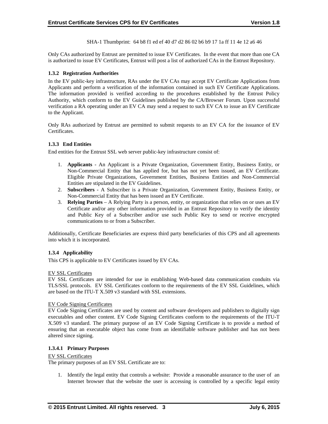SHA-1 Thumbprint: 64 b8 f1 ed ef 40 d7 d2 86 02 b6 b9 17 1a ff 11 4e 12 a6 46

Only CAs authorized by Entrust are permitted to issue EV Certificates. In the event that more than one CA is authorized to issue EV Certificates, Entrust will post a list of authorized CAs in the Entrust Repository.

# **1.3.2 Registration Authorities**

In the EV public-key infrastructure, RAs under the EV CAs may accept EV Certificate Applications from Applicants and perform a verification of the information contained in such EV Certificate Applications. The information provided is verified according to the procedures established by the Entrust Policy Authority, which conform to the EV Guidelines published by the CA/Browser Forum. Upon successful verification a RA operating under an EV CA may send a request to such EV CA to issue an EV Certificate to the Applicant.

Only RAs authorized by Entrust are permitted to submit requests to an EV CA for the issuance of EV Certificates.

# **1.3.3 End Entities**

End entities for the Entrust SSL web server public-key infrastructure consist of:

- 1. **Applicants** An Applicant is a Private Organization, Government Entity, Business Entity, or Non-Commercial Entity that has applied for, but has not yet been issued, an EV Certificate. Eligible Private Organizations, Government Entities, Business Entities and Non-Commercial Entities are stipulated in the EV Guidelines.
- 2. **Subscribers**  A Subscriber is a Private Organization, Government Entity, Business Entity, or Non-Commercial Entity that has been issued an EV Certificate.
- 3. **Relying Parties**  A Relying Party is a person, entity, or organization that relies on or uses an EV Certificate and/or any other information provided in an Entrust Repository to verify the identity and Public Key of a Subscriber and/or use such Public Key to send or receive encrypted communications to or from a Subscriber.

Additionally, Certificate Beneficiaries are express third party beneficiaries of this CPS and all agreements into which it is incorporated.

## **1.3.4 Applicability**

This CPS is applicable to EV Certificates issued by EV CAs.

## EV SSL Certificates

EV SSL Certificates are intended for use in establishing Web-based data communication conduits via TLS/SSL protocols. EV SSL Certificates conform to the requirements of the EV SSL Guidelines, which are based on the ITU-T X.509 v3 standard with SSL extensions.

## EV Code Signing Certificates

EV Code Signing Certificates are used by content and software developers and publishers to digitally sign executables and other content. EV Code Signing Certificates conform to the requirements of the ITU-T X.509 v3 standard. The primary purpose of an EV Code Signing Certificate is to provide a method of ensuring that an executable object has come from an identifiable software publisher and has not been altered since signing.

## **1.3.4.1 Primary Purposes**

## EV SSL Certificates

The primary purposes of an EV SSL Certificate are to:

1. Identify the legal entity that controls a website: Provide a reasonable assurance to the user of an Internet browser that the website the user is accessing is controlled by a specific legal entity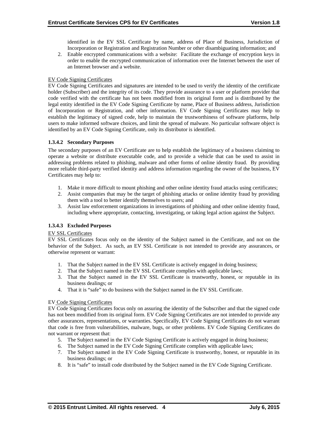identified in the EV SSL Certificate by name, address of Place of Business, Jurisdiction of Incorporation or Registration and Registration Number or other disambiguating information; and

2. Enable encrypted communications with a website: Facilitate the exchange of encryption keys in order to enable the encrypted communication of information over the Internet between the user of an Internet browser and a website.

# EV Code Signing Certificates

EV Code Signing Certificates and signatures are intended to be used to verify the identity of the certificate holder (Subscriber) and the integrity of its code. They provide assurance to a user or platform provider that code verified with the certificate has not been modified from its original form and is distributed by the legal entity identified in the EV Code Signing Certificate by name, Place of Business address, Jurisdiction of Incorporation or Registration, and other information. EV Code Signing Certificates may help to establish the legitimacy of signed code, help to maintain the trustworthiness of software platforms, help users to make informed software choices, and limit the spread of malware. No particular software object is identified by an EV Code Signing Certificate, only its distributor is identified.

# **1.3.4.2 Secondary Purposes**

The secondary purposes of an EV Certificate are to help establish the legitimacy of a business claiming to operate a website or distribute executable code, and to provide a vehicle that can be used to assist in addressing problems related to phishing, malware and other forms of online identity fraud. By providing more reliable third-party verified identity and address information regarding the owner of the business, EV Certificates may help to:

- 1. Make it more difficult to mount phishing and other online identity fraud attacks using certificates;
- 2. Assist companies that may be the target of phishing attacks or online identity fraud by providing them with a tool to better identify themselves to users; and
- 3. Assist law enforcement organizations in investigations of phishing and other online identity fraud, including where appropriate, contacting, investigating, or taking legal action against the Subject.

# **1.3.4.3 Excluded Purposes**

## EV SSL Certificates

EV SSL Certificates focus only on the identity of the Subject named in the Certificate, and not on the behavior of the Subject. As such, an EV SSL Certificate is not intended to provide any assurances, or otherwise represent or warrant:

- 1. That the Subject named in the EV SSL Certificate is actively engaged in doing business;
- 2. That the Subject named in the EV SSL Certificate complies with applicable laws;
- 3. That the Subject named in the EV SSL Certificate is trustworthy, honest, or reputable in its business dealings; or
- 4. That it is "safe" to do business with the Subject named in the EV SSL Certificate.

## EV Code Signing Certificates

EV Code Signing Certificates focus only on assuring the identity of the Subscriber and that the signed code has not been modified from its original form. EV Code Signing Certificates are not intended to provide any other assurances, representations, or warranties. Specifically, EV Code Signing Certificates do not warrant that code is free from vulnerabilities, malware, bugs, or other problems. EV Code Signing Certificates do not warrant or represent that:

- 5. The Subject named in the EV Code Signing Certificate is actively engaged in doing business;
- 6. The Subject named in the EV Code Signing Certificate complies with applicable laws;
- 7. The Subject named in the EV Code Signing Certificate is trustworthy, honest, or reputable in its business dealings; or
- 8. It is "safe" to install code distributed by the Subject named in the EV Code Signing Certificate.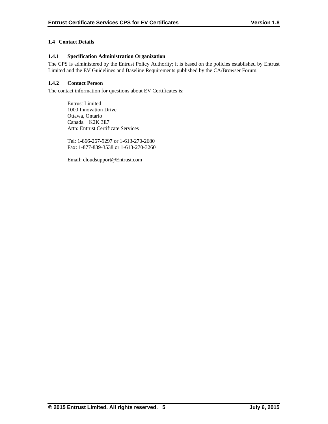# **1.4 Contact Details**

# **1.4.1 Specification Administration Organization**

The CPS is administered by the Entrust Policy Authority; it is based on the policies established by Entrust Limited and the EV Guidelines and Baseline Requirements published by the CA/Browser Forum.

# **1.4.2 Contact Person**

The contact information for questions about EV Certificates is:

 Entrust Limited 1000 Innovation Drive Ottawa, Ontario Canada K2K 3E7 Attn: Entrust Certificate Services

Tel: 1-866-267-9297 or 1-613-270-2680 Fax: 1-877-839-3538 or 1-613-270-3260

Email: cloudsupport@Entrust.com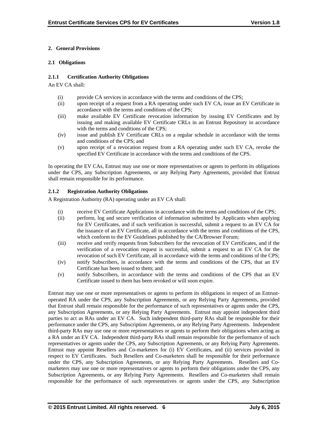# **2. General Provisions**

# **2.1 Obligations**

# **2.1.1 Certification Authority Obligations**

An EV CA shall:

- (i) provide CA services in accordance with the terms and conditions of the CPS;
- (ii) upon receipt of a request from a RA operating under such EV CA, issue an EV Certificate in accordance with the terms and conditions of the CPS;
- (iii) make available EV Certificate revocation information by issuing EV Certificates and by issuing and making available EV Certificate CRLs in an Entrust Repository in accordance with the terms and conditions of the CPS;
- (iv) issue and publish EV Certificate CRLs on a regular schedule in accordance with the terms and conditions of the CPS; and
- (v) upon receipt of a revocation request from a RA operating under such EV CA, revoke the specified EV Certificate in accordance with the terms and conditions of the CPS.

In operating the EV CAs, Entrust may use one or more representatives or agents to perform its obligations under the CPS, any Subscription Agreements, or any Relying Party Agreements, provided that Entrust shall remain responsible for its performance.

# **2.1.2 Registration Authority Obligations**

A Registration Authority (RA) operating under an EV CA shall:

- (i) receive EV Certificate Applications in accordance with the terms and conditions of the CPS;
- (ii) perform, log and secure verification of information submitted by Applicants when applying for EV Certificates, and if such verification is successful, submit a request to an EV CA for the issuance of an EV Certificate, all in accordance with the terms and conditions of the CPS, which conform to the EV Guidelines published by the CA/Browser Forum;
- (iii) receive and verify requests from Subscribers for the revocation of EV Certificates, and if the verification of a revocation request is successful, submit a request to an EV CA for the revocation of such EV Certificate, all in accordance with the terms and conditions of the CPS;
- (iv) notify Subscribers, in accordance with the terms and conditions of the CPS, that an EV Certificate has been issued to them; and
- (v) notify Subscribers, in accordance with the terms and conditions of the CPS that an EV Certificate issued to them has been revoked or will soon expire.

Entrust may use one or more representatives or agents to perform its obligations in respect of an Entrustoperated RA under the CPS, any Subscription Agreements, or any Relying Party Agreements, provided that Entrust shall remain responsible for the performance of such representatives or agents under the CPS, any Subscription Agreements, or any Relying Party Agreements. Entrust may appoint independent third parties to act as RAs under an EV CA. Such independent third-party RAs shall be responsible for their performance under the CPS, any Subscription Agreements, or any Relying Party Agreements. Independent third-party RAs may use one or more representatives or agents to perform their obligations when acting as a RA under an EV CA. Independent third-party RAs shall remain responsible for the performance of such representatives or agents under the CPS, any Subscription Agreements, or any Relying Party Agreements. Entrust may appoint Resellers and Co-marketers for (i) EV Certificates, and (ii) services provided in respect to EV Certificates. Such Resellers and Co-marketers shall be responsible for their performance under the CPS, any Subscription Agreements, or any Relying Party Agreements. Resellers and Comarketers may use one or more representatives or agents to perform their obligations under the CPS, any Subscription Agreements, or any Relying Party Agreements. Resellers and Co-marketers shall remain responsible for the performance of such representatives or agents under the CPS, any Subscription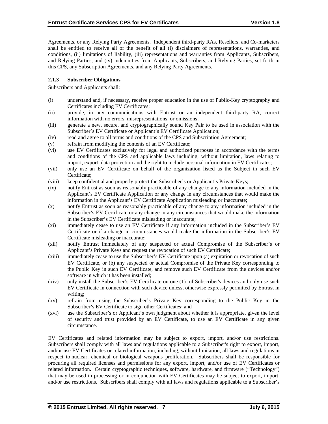Agreements, or any Relying Party Agreements. Independent third-party RAs, Resellers, and Co-marketers shall be entitled to receive all of the benefit of all (i) disclaimers of representations, warranties, and conditions, (ii) limitations of liability, (iii) representations and warranties from Applicants, Subscribers, and Relying Parties, and (iv) indemnities from Applicants, Subscribers, and Relying Parties, set forth in this CPS, any Subscription Agreements, and any Relying Party Agreements.

# **2.1.3 Subscriber Obligations**

Subscribers and Applicants shall:

- (i) understand and, if necessary, receive proper education in the use of Public-Key cryptography and Certificates including EV Certificates;
- (ii) provide, in any communications with Entrust or an independent third-party RA, correct information with no errors, misrepresentations, or omissions;
- (iii) generate a new, secure, and cryptographically sound Key Pair to be used in association with the Subscriber's EV Certificate or Applicant's EV Certificate Application;
- (iv) read and agree to all terms and conditions of the CPS and Subscription Agreement;
- (v) refrain from modifying the contents of an EV Certificate;
- (vi) use EV Certificates exclusively for legal and authorized purposes in accordance with the terms and conditions of the CPS and applicable laws including, without limitation, laws relating to import, export, data protection and the right to include personal information in EV Certificates;
- (vii) only use an EV Certificate on behalf of the organization listed as the Subject in such EV Certificate;
- (viii) keep confidential and properly protect the Subscriber's or Applicant's Private Keys;
- (ix) notify Entrust as soon as reasonably practicable of any change to any information included in the Applicant's EV Certificate Application or any change in any circumstances that would make the information in the Applicant's EV Certificate Application misleading or inaccurate;
- (x) notify Entrust as soon as reasonably practicable of any change to any information included in the Subscriber's EV Certificate or any change in any circumstances that would make the information in the Subscriber's EV Certificate misleading or inaccurate;
- (xi) immediately cease to use an EV Certificate if any information included in the Subscriber's EV Certificate or if a change in circumstances would make the information in the Subscriber's EV Certificate misleading or inaccurate;
- (xii) notify Entrust immediately of any suspected or actual Compromise of the Subscriber's or Applicant's Private Keys and request the revocation of such EV Certificate;
- (xiii) immediately cease to use the Subscriber's EV Certificate upon (a) expiration or revocation of such EV Certificate, or (b) any suspected or actual Compromise of the Private Key corresponding to the Public Key in such EV Certificate, and remove such EV Certificate from the devices and/or software in which it has been installed;
- (xiv) only install the Subscriber's EV Certificate on one (1) of Subscriber's devices and only use such EV Certificate in connection with such device unless, otherwise expressly permitted by Entrust in writing;
- (xv) refrain from using the Subscriber's Private Key corresponding to the Public Key in the Subscriber's EV Certificate to sign other Certificates; and
- (xvi) use the Subscriber's or Applicant's own judgment about whether it is appropriate, given the level of security and trust provided by an EV Certificate, to use an EV Certificate in any given circumstance.

EV Certificates and related information may be subject to export, import, and/or use restrictions. Subscribers shall comply with all laws and regulations applicable to a Subscriber's right to export, import, and/or use EV Certificates or related information, including, without limitation, all laws and regulations in respect to nuclear, chemical or biological weapons proliferation. Subscribers shall be responsible for procuring all required licenses and permissions for any export, import, and/or use of EV Certificates or related information. Certain cryptographic techniques, software, hardware, and firmware ("Technology") that may be used in processing or in conjunction with EV Certificates may be subject to export, import, and/or use restrictions. Subscribers shall comply with all laws and regulations applicable to a Subscriber's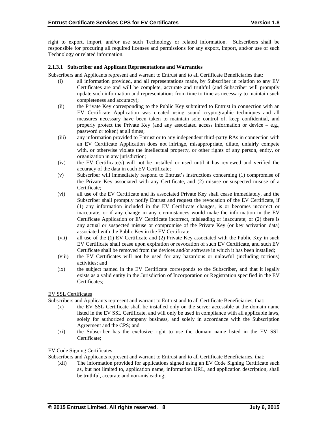right to export, import, and/or use such Technology or related information. Subscribers shall be responsible for procuring all required licenses and permissions for any export, import, and/or use of such Technology or related information.

## **2.1.3.1 Subscriber and Applicant Representations and Warranties**

Subscribers and Applicants represent and warrant to Entrust and to all Certificate Beneficiaries that:

- (i) all information provided, and all representations made, by Subscriber in relation to any EV Certificates are and will be complete, accurate and truthful (and Subscriber will promptly update such information and representations from time to time as necessary to maintain such completeness and accuracy);
- (ii) the Private Key corresponding to the Public Key submitted to Entrust in connection with an EV Certificate Application was created using sound cryptographic techniques and all measures necessary have been taken to maintain sole control of, keep confidential, and properly protect the Private Key (and any associated access information or device  $-$  e.g., password or token) at all times;
- (iii) any information provided to Entrust or to any independent third-party RAs in connection with an EV Certificate Application does not infringe, misappropriate, dilute, unfairly compete with, or otherwise violate the intellectual property, or other rights of any person, entity, or organization in any jurisdiction;
- (iv) the EV Certificate(s) will not be installed or used until it has reviewed and verified the accuracy of the data in each EV Certificate;
- (v) Subscriber will immediately respond to Entrust's instructions concerning (1) compromise of the Private Key associated with any Certificate, and (2) misuse or suspected misuse of a Certificate;
- (vi) all use of the EV Certificate and its associated Private Key shall cease immediately, and the Subscriber shall promptly notify Entrust and request the revocation of the EV Certificate, if (1) any information included in the EV Certificate changes, is or becomes incorrect or inaccurate, or if any change in any circumstances would make the information in the EV Certificate Application or EV Certificate incorrect, misleading or inaccurate; or (2) there is any actual or suspected misuse or compromise of the Private Key (or key activation data) associated with the Public Key in the EV Certificate;
- (vii) all use of the (1) EV Certificate and (2) Private Key associated with the Public Key in such EV Certificate shall cease upon expiration or revocation of such EV Certificate, and such EV Certificate shall be removed from the devices and/or software in which it has been installed;
- (viii) the EV Certificates will not be used for any hazardous or unlawful (including tortious) activities; and
- (ix) the subject named in the EV Certificate corresponds to the Subscriber, and that it legally exists as a valid entity in the Jurisdiction of Incorporation or Registration specified in the EV Certificates;

## EV SSL Certificates

Subscribers and Applicants represent and warrant to Entrust and to all Certificate Beneficiaries, that:

- (x) the EV SSL Certificate shall be installed only on the server accessible at the domain name listed in the EV SSL Certificate, and will only be used in compliance with all applicable laws, solely for authorized company business, and solely in accordance with the Subscription Agreement and the CPS; and
- (xi) the Subscriber has the exclusive right to use the domain name listed in the EV SSL Certificate;

## EV Code Signing Certificates

Subscribers and Applicants represent and warrant to Entrust and to all Certificate Beneficiaries, that:

(xii) The information provided for applications signed using an EV Code Signing Certificate such as, but not limited to, application name, information URL, and application description, shall be truthful, accurate and non-misleading;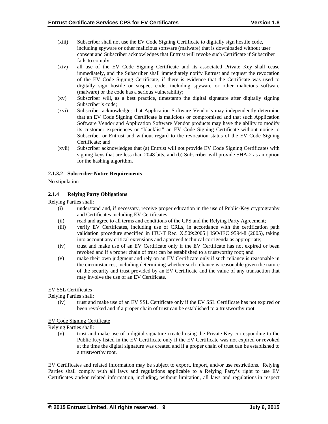- (xiii) Subscriber shall not use the EV Code Signing Certificate to digitally sign hostile code, including spyware or other malicious software (malware) that is downloaded without user consent and Subscriber acknowledges that Entrust will revoke such Certificate if Subscriber fails to comply;
- (xiv) all use of the EV Code Signing Certificate and its associated Private Key shall cease immediately, and the Subscriber shall immediately notify Entrust and request the revocation of the EV Code Signing Certificate, if there is evidence that the Certificate was used to digitally sign hostile or suspect code, including spyware or other malicious software (malware) or the code has a serious vulnerability;
- (xv) Subscriber will, as a best practice, timestamp the digital signature after digitally signing Subscriber's code;
- (xvi) Subscriber acknowledges that Application Software Vendor's may independently determine that an EV Code Signing Certificate is malicious or compromised and that such Application Software Vendor and Application Software Vendor products may have the ability to modify its customer experiences or "blacklist" an EV Code Signing Certificate without notice to Subscriber or Entrust and without regard to the revocation status of the EV Code Signing Certificate; and
- (xvii) Subscriber acknowledges that (a) Entrust will not provide EV Code Signing Certificates with signing keys that are less than 2048 bits, and (b) Subscriber will provide SHA-2 as an option for the hashing algorithm.

## **2.1.3.2 Subscriber Notice Requirements**

No stipulation

# **2.1.4 Relying Party Obligations**

Relying Parties shall:

- (i) understand and, if necessary, receive proper education in the use of Public-Key cryptography and Certificates including EV Certificates;
- (ii) read and agree to all terms and conditions of the CPS and the Relying Party Agreement;
- (iii) verify EV Certificates, including use of CRLs, in accordance with the certification path validation procedure specified in ITU-T Rec. X.509:2005 | ISO/IEC 9594-8 (2005), taking into account any critical extensions and approved technical corrigenda as appropriate;
- (iv) trust and make use of an EV Certificate only if the EV Certificate has not expired or been revoked and if a proper chain of trust can be established to a trustworthy root; and
- (v) make their own judgment and rely on an EV Certificate only if such reliance is reasonable in the circumstances, including determining whether such reliance is reasonable given the nature of the security and trust provided by an EV Certificate and the value of any transaction that may involve the use of an EV Certificate.

## EV SSL Certificates

Relying Parties shall:

(iv) trust and make use of an EV SSL Certificate only if the EV SSL Certificate has not expired or been revoked and if a proper chain of trust can be established to a trustworthy root.

## EV Code Signing Certificate

Relying Parties shall:

(v) trust and make use of a digital signature created using the Private Key corresponding to the Public Key listed in the EV Certificate only if the EV Certificate was not expired or revoked at the time the digital signature was created and if a proper chain of trust can be established to a trustworthy root.

EV Certificates and related information may be subject to export, import, and/or use restrictions. Relying Parties shall comply with all laws and regulations applicable to a Relying Party's right to use EV Certificates and/or related information, including, without limitation, all laws and regulations in respect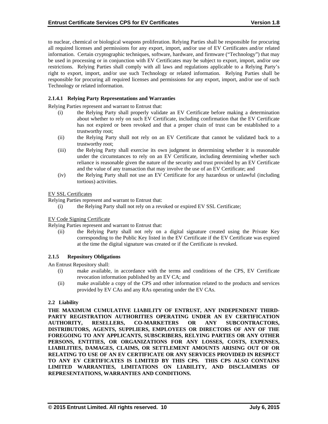to nuclear, chemical or biological weapons proliferation. Relying Parties shall be responsible for procuring all required licenses and permissions for any export, import, and/or use of EV Certificates and/or related information. Certain cryptographic techniques, software, hardware, and firmware ("Technology") that may be used in processing or in conjunction with EV Certificates may be subject to export, import, and/or use restrictions. Relying Parties shall comply with all laws and regulations applicable to a Relying Party's right to export, import, and/or use such Technology or related information. Relying Parties shall be responsible for procuring all required licenses and permissions for any export, import, and/or use of such Technology or related information.

# **2.1.4.1 Relying Party Representations and Warranties**

Relying Parties represent and warrant to Entrust that:

- (i) the Relying Party shall properly validate an EV Certificate before making a determination about whether to rely on such EV Certificate, including confirmation that the EV Certificate has not expired or been revoked and that a proper chain of trust can be established to a trustworthy root;
- (ii) the Relying Party shall not rely on an EV Certificate that cannot be validated back to a trustworthy root;
- (iii) the Relying Party shall exercise its own judgment in determining whether it is reasonable under the circumstances to rely on an EV Certificate, including determining whether such reliance is reasonable given the nature of the security and trust provided by an EV Certificate and the value of any transaction that may involve the use of an EV Certificate; and
- (iv) the Relying Party shall not use an EV Certificate for any hazardous or unlawful (including tortious) activities.

#### EV SSL Certificates

Relying Parties represent and warrant to Entrust that:

(i) the Relying Party shall not rely on a revoked or expired EV SSL Certificate;

## EV Code Signing Certificate

Relying Parties represent and warrant to Entrust that:

(ii) the Relying Party shall not rely on a digital signature created using the Private Key corresponding to the Public Key listed in the EV Certificate if the EV Certificate was expired at the time the digital signature was created or if the Certificate is revoked.

## **2.1.5 Repository Obligations**

An Entrust Repository shall:

- (i) make available, in accordance with the terms and conditions of the CPS, EV Certificate revocation information published by an EV CA; and
- (ii) make available a copy of the CPS and other information related to the products and services provided by EV CAs and any RAs operating under the EV CAs.

## **2.2 Liability**

**THE MAXIMUM CUMULATIVE LIABILITY OF ENTRUST, ANY INDEPENDENT THIRD-PARTY REGISTRATION AUTHORITIES OPERATING UNDER AN EV CERTIFICATION AUTHORITY, RESELLERS, CO-MARKETERS OR ANY SUBCONTRACTORS, DISTRIBUTORS, AGENTS, SUPPLIERS, EMPLOYEES OR DIRECTORS OF ANY OF THE FOREGOING TO ANY APPLICANTS, SUBSCRIBERS, RELYING PARTIES OR ANY OTHER PERSONS, ENTITIES, OR ORGANIZATIONS FOR ANY LOSSES, COSTS, EXPENSES, LIABILITIES, DAMAGES, CLAIMS, OR SETTLEMENT AMOUNTS ARISING OUT OF OR RELATING TO USE OF AN EV CERTIFICATE OR ANY SERVICES PROVIDED IN RESPECT TO ANY EV CERTIFICATES IS LIMITED BY THIS CPS. THIS CPS ALSO CONTAINS LIMITED WARRANTIES, LIMITATIONS ON LIABILITY, AND DISCLAIMERS OF REPRESENTATIONS, WARRANTIES AND CONDITIONS.**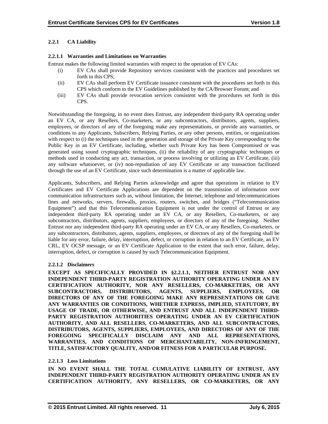# **2.2.1 CA Liability**

# **2.2.1.1 Warranties and Limitations on Warranties**

Entrust makes the following limited warranties with respect to the operation of EV CAs:

- (i) EV CAs shall provide Repository services consistent with the practices and procedures set forth in this CPS;
- (ii) EV CAs shall perform EV Certificate issuance consistent with the procedures set forth in this CPS which conform to the EV Guidelines published by the CA/Browser Forum; and
- (iii) EV CAs shall provide revocation services consistent with the procedures set forth in this CPS.

Notwithstanding the foregoing, in no event does Entrust, any independent third-party RA operating under an EV CA, or any Resellers, Co-marketers, or any subcontractors, distributors, agents, suppliers, employees, or directors of any of the foregoing make any representations, or provide any warranties, or conditions to any Applicants, Subscribers, Relying Parties, or any other persons, entities, or organizations with respect to (i) the techniques used in the generation and storage of the Private Key corresponding to the Public Key in an EV Certificate, including, whether such Private Key has been Compromised or was generated using sound cryptographic techniques, (ii) the reliability of any cryptographic techniques or methods used in conducting any act, transaction, or process involving or utilizing an EV Certificate, (iii) any software whatsoever, or (iv) non-repudiation of any EV Certificate or any transaction facilitated through the use of an EV Certificate, since such determination is a matter of applicable law.

Applicants, Subscribers, and Relying Parties acknowledge and agree that operations in relation to EV Certificates and EV Certificate Applications are dependent on the transmission of information over communication infrastructures such as, without limitation, the Internet, telephone and telecommunications lines and networks, servers, firewalls, proxies, routers, switches, and bridges ("Telecommunication Equipment") and that this Telecommunication Equipment is not under the control of Entrust or any independent third-party RA operating under an EV CA, or any Resellers, Co-marketers, or any subcontractors, distributors, agents, suppliers, employees, or directors of any of the foregoing. Neither Entrust nor any independent third-party RA operating under an EV CA, or any Resellers, Co-marketers, or any subcontractors, distributors, agents, suppliers, employees, or directors of any of the foregoing shall be liable for any error, failure, delay, interruption, defect, or corruption in relation to an EV Certificate, an EV CRL, EV OCSP message, or an EV Certificate Application to the extent that such error, failure, delay, interruption, defect, or corruption is caused by such Telecommunication Equipment.

# **2.2.1.2 Disclaimers**

**EXCEPT AS SPECIFICALLY PROVIDED IN §2.2.1.1, NEITHER ENTRUST NOR ANY INDEPENDENT THIRD-PARTY REGISTRATION AUTHORITY OPERATING UNDER AN EV CERTIFICATION AUTHORITY, NOR ANY RESELLERS, CO-MARKETERS, OR ANY SUBCONTRACTORS, DISTRIBUTORS, AGENTS, SUPPLIERS, EMPLOYEES, OR DIRECTORS OF ANY OF THE FOREGOING MAKE ANY REPRESENTATIONS OR GIVE ANY WARRANTIES OR CONDITIONS, WHETHER EXPRESS, IMPLIED, STATUTORY, BY USAGE OF TRADE, OR OTHERWISE, AND ENTRUST AND ALL INDEPENDENT THIRD-PARTY REGISTRATION AUTHORITIES OPERATING UNDER AN EV CERTIFICATION AUTHORITY, AND ALL RESELLERS, CO-MARKETERS, AND ALL SUBCONTRACTORS, DISTRIBUTORS, AGENTS, SUPPLIERS, EMPLOYEES, AND DIRECTORS OF ANY OF THE FOREGOING SPECIFICALLY DISCLAIM ANY AND ALL REPRESENTATIONS, WARRANTIES, AND CONDITIONS OF MERCHANTABILITY, NON-INFRINGEMENT, TITLE, SATISFACTORY QUALITY, AND/OR FITNESS FOR A PARTICULAR PURPOSE.** 

# **2.2.1.3 Loss Limitations**

**IN NO EVENT SHALL THE TOTAL CUMULATIVE LIABILITY OF ENTRUST, ANY INDEPENDENT THIRD-PARTY REGISTRATION AUTHORITY OPERATING UNDER AN EV CERTIFICATION AUTHORITY, ANY RESELLERS, OR CO-MARKETERS, OR ANY**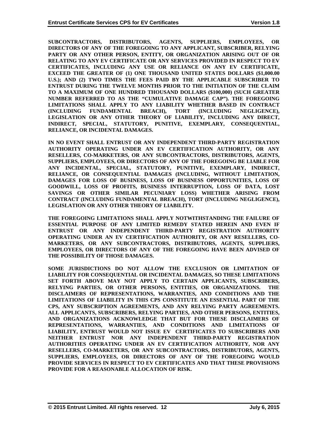**SUBCONTRACTORS, DISTRIBUTORS, AGENTS, SUPPLIERS, EMPLOYEES, OR DIRECTORS OF ANY OF THE FOREGOING TO ANY APPLICANT, SUBSCRIBER, RELYING PARTY OR ANY OTHER PERSON, ENTITY, OR ORGANIZATION ARISING OUT OF OR RELATING TO ANY EV CERTIFICATE OR ANY SERVICES PROVIDED IN RESPECT TO EV CERTIFICATES, INCLUDING ANY USE OR RELIANCE ON ANY EV CERTIFICATE, EXCEED THE GREATER OF (1) ONE THOUSAND UNITED STATES DOLLARS (\$1,000.00 U.S.); AND (2) TWO TIMES THE FEES PAID BY THE APPLICABLE SUBSCRIBER TO ENTRUST DURING THE TWELVE MONTHS PRIOR TO THE INITIATION OF THE CLAIM TO A MAXIMUM OF ONE HUNDRED THOUSAND DOLLARS (\$100,000) (SUCH GREATER NUMBER REFERRED TO AS THE "CUMULATIVE DAMAGE CAP"). THE FOREGOING LIMITATIONS SHALL APPLY TO ANY LIABILITY WHETHER BASED IN CONTRACT (INCLUDING FUNDAMENTAL BREACH), TORT (INCLUDING NEGLIGENCE), LEGISLATION OR ANY OTHER THEORY OF LIABILITY, INCLUDING ANY DIRECT, INDIRECT, SPECIAL, STATUTORY, PUNITIVE, EXEMPLARY, CONSEQUENTIAL, RELIANCE, OR INCIDENTAL DAMAGES.** 

**IN NO EVENT SHALL ENTRUST OR ANY INDEPENDENT THIRD-PARTY REGISTRATION AUTHORITY OPERATING UNDER AN EV CERTIFICATION AUTHORITY, OR ANY RESELLERS, CO-MARKETERS, OR ANY SUBCONTRACTORS, DISTRIBUTORS, AGENTS, SUPPLIERS, EMPLOYEES, OR DIRECTORS OF ANY OF THE FOREGOING BE LIABLE FOR ANY INCIDENTAL, SPECIAL, STATUTORY, PUNITIVE, EXEMPLARY, INDIRECT, RELIANCE, OR CONSEQUENTIAL DAMAGES (INCLUDING, WITHOUT LIMITATION, DAMAGES FOR LOSS OF BUSINESS, LOSS OF BUSINESS OPPORTUNITIES, LOSS OF GOODWILL, LOSS OF PROFITS, BUSINESS INTERRUPTION, LOSS OF DATA, LOST SAVINGS OR OTHER SIMILAR PECUNIARY LOSS) WHETHER ARISING FROM CONTRACT (INCLUDING FUNDAMENTAL BREACH), TORT (INCLUDING NEGLIGENCE), LEGISLATION OR ANY OTHER THEORY OF LIABILITY.** 

**THE FOREGOING LIMITATIONS SHALL APPLY NOTWITHSTANDING THE FAILURE OF ESSENTIAL PURPOSE OF ANY LIMITED REMEDY STATED HEREIN AND EVEN IF ENTRUST OR ANY INDEPENDENT THIRD-PARTY REGISTRATION AUTHORITY OPERATING UNDER AN EV CERTIFICATION AUTHORITY, OR ANY RESELLERS, CO-MARKETERS, OR ANY SUBCONTRACTORS, DISTRIBUTORS, AGENTS, SUPPLIERS, EMPLOYEES, OR DIRECTORS OF ANY OF THE FOREGOING HAVE BEEN ADVISED OF THE POSSIBILITY OF THOSE DAMAGES.** 

**SOME JURISDICTIONS DO NOT ALLOW THE EXCLUSION OR LIMITATION OF LIABILITY FOR CONSEQUENTIAL OR INCIDENTAL DAMAGES, SO THESE LIMITATIONS SET FORTH ABOVE MAY NOT APPLY TO CERTAIN APPLICANTS, SUBSCRIBERS, RELYING PARTIES, OR OTHER PERSONS, ENTITIES, OR ORGANIZATIONS. THE DISCLAIMERS OF REPRESENTATIONS, WARRANTIES, AND CONDITIONS AND THE LIMITATIONS OF LIABILITY IN THIS CPS CONSTITUTE AN ESSENTIAL PART OF THE CPS, ANY SUBSCRIPTION AGREEMENTS, AND ANY RELYING PARTY AGREEMENTS. ALL APPLICANTS, SUBSCRIBERS, RELYING PARTIES, AND OTHER PERSONS, ENTITIES, AND ORGANIZATIONS ACKNOWLEDGE THAT BUT FOR THESE DISCLAIMERS OF REPRESENTATIONS, WARRANTIES, AND CONDITIONS AND LIMITATIONS OF LIABILITY, ENTRUST WOULD NOT ISSUE EV CERTIFICATES TO SUBSCRIBERS AND NEITHER ENTRUST NOR ANY INDEPENDENT THIRD-PARTY REGISTRATION AUTHORITIES OPERATING UNDER AN EV CERTIFICATION AUTHORITY, NOR ANY RESELLERS, CO-MARKETERS, OR ANY SUBCONTRACTORS, DISTRIBUTORS, AGENTS, SUPPLIERS, EMPLOYEES, OR DIRECTORS OF ANY OF THE FOREGOING WOULD PROVIDE SERVICES IN RESPECT TO EV CERTIFICATES AND THAT THESE PROVISIONS PROVIDE FOR A REASONABLE ALLOCATION OF RISK.**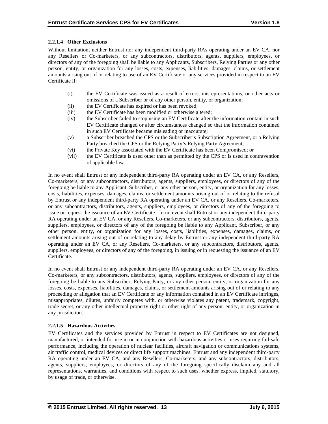# **2.2.1.4 Other Exclusions**

Without limitation, neither Entrust nor any independent third-party RAs operating under an EV CA, nor any Resellers or Co-marketers, or any subcontractors, distributors, agents, suppliers, employees, or directors of any of the foregoing shall be liable to any Applicants, Subscribers, Relying Parties or any other person, entity, or organization for any losses, costs, expenses, liabilities, damages, claims, or settlement amounts arising out of or relating to use of an EV Certificate or any services provided in respect to an EV Certificate if:

- (i) the EV Certificate was issued as a result of errors, misrepresentations, or other acts or omissions of a Subscriber or of any other person, entity, or organization;
- (ii) the EV Certificate has expired or has been revoked;
- (iii) the EV Certificate has been modified or otherwise altered;
- (iv) the Subscriber failed to stop using an EV Certificate after the information contain in such EV Certificate changed or after circumstances changed so that the information contained in such EV Certificate became misleading or inaccurate;
- (v) a Subscriber breached the CPS or the Subscriber's Subscription Agreement, or a Relying Party breached the CPS or the Relying Party's Relying Party Agreement;
- (vi) the Private Key associated with the EV Certificate has been Compromised; or
- (vii) the EV Certificate is used other than as permitted by the CPS or is used in contravention of applicable law.

In no event shall Entrust or any independent third-party RA operating under an EV CA, or any Resellers, Co-marketers, or any subcontractors, distributors, agents, suppliers, employees, or directors of any of the foregoing be liable to any Applicant, Subscriber, or any other person, entity, or organization for any losses, costs, liabilities, expenses, damages, claims, or settlement amounts arising out of or relating to the refusal by Entrust or any independent third-party RA operating under an EV CA, or any Resellers, Co-marketers, or any subcontractors, distributors, agents, suppliers, employees, or directors of any of the foregoing to issue or request the issuance of an EV Certificate. In no event shall Entrust or any independent third-party RA operating under an EV CA, or any Resellers, Co-marketers, or any subcontractors, distributors, agents, suppliers, employees, or directors of any of the foregoing be liable to any Applicant, Subscriber, or any other person, entity, or organization for any losses, costs, liabilities, expenses, damages, claims, or settlement amounts arising out of or relating to any delay by Entrust or any independent third-party RA operating under an EV CA, or any Resellers, Co-marketers, or any subcontractors, distributors, agents, suppliers, employees, or directors of any of the foregoing, in issuing or in requesting the issuance of an EV Certificate.

In no event shall Entrust or any independent third-party RA operating under an EV CA, or any Resellers, Co-marketers, or any subcontractors, distributors, agents, suppliers, employees, or directors of any of the foregoing be liable to any Subscriber, Relying Party, or any other person, entity, or organization for any losses, costs, expenses, liabilities, damages, claims, or settlement amounts arising out of or relating to any proceeding or allegation that an EV Certificate or any information contained in an EV Certificate infringes, misappropriates, dilutes, unfairly competes with, or otherwise violates any patent, trademark, copyright, trade secret, or any other intellectual property right or other right of any person, entity, or organization in any jurisdiction.

# **2.2.1.5 Hazardous Activities**

EV Certificates and the services provided by Entrust in respect to EV Certificates are not designed, manufactured, or intended for use in or in conjunction with hazardous activities or uses requiring fail-safe performance, including the operation of nuclear facilities, aircraft navigation or communications systems, air traffic control, medical devices or direct life support machines. Entrust and any independent third-party RA operating under an EV CA, and any Resellers, Co-marketers, and any subcontractors, distributors, agents, suppliers, employees, or directors of any of the foregoing specifically disclaim any and all representations, warranties, and conditions with respect to such uses, whether express, implied, statutory, by usage of trade, or otherwise.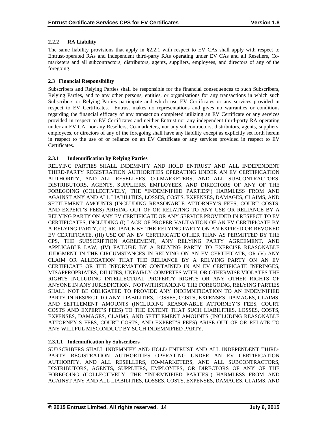# **2.2.2 RA Liability**

The same liability provisions that apply in §2.2.1 with respect to EV CAs shall apply with respect to Entrust-operated RAs and independent third-party RAs operating under EV CAs and all Resellers, Comarketers and all subcontractors, distributors, agents, suppliers, employees, and directors of any of the foregoing.

# **2.3 Financial Responsibility**

Subscribers and Relying Parties shall be responsible for the financial consequences to such Subscribers, Relying Parties, and to any other persons, entities, or organizations for any transactions in which such Subscribers or Relying Parties participate and which use EV Certificates or any services provided in respect to EV Certificates. Entrust makes no representations and gives no warranties or conditions regarding the financial efficacy of any transaction completed utilizing an EV Certificate or any services provided in respect to EV Certificates and neither Entrust nor any independent third-party RA operating under an EV CA, nor any Resellers, Co-marketers, nor any subcontractors, distributors, agents, suppliers, employees, or directors of any of the foregoing shall have any liability except as explicitly set forth herein in respect to the use of or reliance on an EV Certificate or any services provided in respect to EV Certificates.

# **2.3.1 Indemnification by Relying Parties**

RELYING PARTIES SHALL INDEMNIFY AND HOLD ENTRUST AND ALL INDEPENDENT THIRD-PARTY REGISTRATION AUTHORITIES OPERATING UNDER AN EV CERTIFICATION AUTHORITY, AND ALL RESELLERS, CO-MARKETERS, AND ALL SUBCONTRACTORS, DISTRIBUTORS, AGENTS, SUPPLIERS, EMPLOYEES, AND DIRECTORS OF ANY OF THE FOREGOING (COLLECTIVELY, THE "INDEMNIFIED PARTIES") HARMLESS FROM AND AGAINST ANY AND ALL LIABILITIES, LOSSES, COSTS, EXPENSES, DAMAGES, CLAIMS, AND SETTLEMENT AMOUNTS (INCLUDING REASONABLE ATTORNEY'S FEES, COURT COSTS, AND EXPERT'S FEES) ARISING OUT OF OR RELATING TO ANY USE OR RELIANCE BY A RELYING PARTY ON ANY EV CERTIFICATE OR ANY SERVICE PROVIDED IN RESPECT TO EV CERTIFICATES, INCLUDING (I) LACK OF PROPER VALIDATION OF AN EV CERTIFICATE BY A RELYING PARTY, (II) RELIANCE BY THE RELYING PARTY ON AN EXPIRED OR REVOKED EV CERTIFICATE, (III) USE OF AN EV CERTIFICATE OTHER THAN AS PERMITTED BY THE CPS, THE SUBSCRIPTION AGREEMENT, ANY RELYING PARTY AGREEMENT, AND APPLICABLE LAW, (IV) FAILURE BY A RELYING PARTY TO EXERCISE REASONABLE JUDGMENT IN THE CIRCUMSTANCES IN RELYING ON AN EV CERTIFICATE, OR (V) ANY CLAIM OR ALLEGATION THAT THE RELIANCE BY A RELYING PARTY ON AN EV CERTIFICATE OR THE INFORMATION CONTAINED IN AN EV CERTIFICATE INFRINGES, MISAPPROPRIATES, DILUTES, UNFAIRLY COMPETES WITH, OR OTHERWISE VIOLATES THE RIGHTS INCLUDING INTELLECTUAL PROPERTY RIGHTS OR ANY OTHER RIGHTS OF ANYONE IN ANY JURISDICTION. NOTWITHSTANDING THE FOREGOING, RELYING PARTIES SHALL NOT BE OBLIGATED TO PROVIDE ANY INDEMNIFICATION TO AN INDEMNIFIED PARTY IN RESPECT TO ANY LIABILITIES, LOSSES, COSTS, EXPENSES, DAMAGES, CLAIMS, AND SETTLEMENT AMOUNTS (INCLUDING REASONABLE ATTORNEY'S FEES, COURT COSTS AND EXPERT'S FEES) TO THE EXTENT THAT SUCH LIABILITIES, LOSSES, COSTS, EXPENSES, DAMAGES, CLAIMS, AND SETTLEMENT AMOUNTS (INCLUDING REASONABLE ATTORNEY'S FEES, COURT COSTS, AND EXPERT'S FEES) ARISE OUT OF OR RELATE TO ANY WILLFUL MISCONDUCT BY SUCH INDEMNIFIED PARTY.

## **2.3.1.1 Indemnification by Subscribers**

SUBSCRIBERS SHALL INDEMNIFY AND HOLD ENTRUST AND ALL INDEPENDENT THIRD-PARTY REGISTRATION AUTHORITIES OPERATING UNDER AN EV CERTIFICATION AUTHORITY, AND ALL RESELLERS, CO-MARKETERS, AND ALL SUBCONTRACTORS, DISTRIBUTORS, AGENTS, SUPPLIERS, EMPLOYEES, OR DIRECTORS OF ANY OF THE FOREGOING (COLLECTIVELY, THE "INDEMNIFIED PARTIES") HARMLESS FROM AND AGAINST ANY AND ALL LIABILITIES, LOSSES, COSTS, EXPENSES, DAMAGES, CLAIMS, AND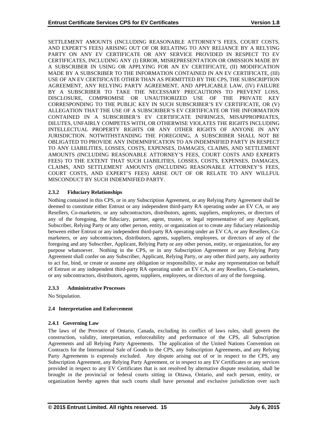SETTLEMENT AMOUNTS (INCLUDING REASONABLE ATTORNEY'S FEES, COURT COSTS, AND EXPERT'S FEES) ARISING OUT OF OR RELATING TO ANY RELIANCE BY A RELYING PARTY ON ANY EV CERTIFICATE OR ANY SERVICE PROVIDED IN RESPECT TO EV CERTIFICATES, INCLUDING ANY (I) ERROR, MISREPRESENTATION OR OMISSION MADE BY A SUBSCRIBER IN USING OR APPLYING FOR AN EV CERTIFICATE, (II) MODIFICATION MADE BY A SUBSCRIBER TO THE INFORMATION CONTAINED IN AN EV CERTIFICATE, (III) USE OF AN EV CERTIFICATE OTHER THAN AS PERMITTED BY THE CPS, THE SUBSCRIPTION AGREEMENT, ANY RELYING PARTY AGREEMENT, AND APPLICABLE LAW, (IV) FAILURE BY A SUBSCRIBER TO TAKE THE NECESSARY PRECAUTIONS TO PREVENT LOSS, DISCLOSURE, COMPROMISE OR UNAUTHORIZED USE OF THE PRIVATE KEY CORRESPONDING TO THE PUBLIC KEY IN SUCH SUBSCRIBER'S EV CERTIFICATE, OR (V) ALLEGATION THAT THE USE OF A SUBSCRIBER'S EV CERTIFICATE OR THE INFORMATION CONTAINED IN A SUBSCRIBER'S EV CERTIFICATE INFRINGES, MISAPPROPRIATES, DILUTES, UNFAIRLY COMPETES WITH, OR OTHERWISE VIOLATES THE RIGHTS INCLUDING INTELLECTUAL PROPERTY RIGHTS OR ANY OTHER RIGHTS OF ANYONE IN ANY JURISDICTION. NOTWITHSTANDING THE FOREGOING, A SUBSCRIBER SHALL NOT BE OBLIGATED TO PROVIDE ANY INDEMNIFICATION TO AN INDEMNIFIED PARTY IN RESPECT TO ANY LIABILITIES, LOSSES, COSTS, EXPENSES, DAMAGES, CLAIMS, AND SETTLEMENT AMOUNTS (INCLUDING REASONABLE ATTORNEY'S FEES, COURT COSTS AND EXPERTS FEES) TO THE EXTENT THAT SUCH LIABILITIES, LOSSES, COSTS, EXPENSES, DAMAGES, CLAIMS, AND SETTLEMENT AMOUNTS (INCLUDING REASONABLE ATTORNEY'S FEES, COURT COSTS, AND EXPERT'S FEES) ARISE OUT OF OR RELATE TO ANY WILLFUL MISCONDUCT BY SUCH INDEMNIFIED PARTY.

# **2.3.2 Fiduciary Relationships**

Nothing contained in this CPS, or in any Subscription Agreement, or any Relying Party Agreement shall be deemed to constitute either Entrust or any independent third-party RA operating under an EV CA, or any Resellers, Co-marketers, or any subcontractors, distributors, agents, suppliers, employees, or directors of any of the foregoing, the fiduciary, partner, agent, trustee, or legal representative of any Applicant, Subscriber, Relying Party or any other person, entity, or organization or to create any fiduciary relationship between either Entrust or any independent third-party RA operating under an EV CA, or any Resellers, Comarketers, or any subcontractors, distributors, agents, suppliers, employees, or directors of any of the foregoing and any Subscriber, Applicant, Relying Party or any other person, entity, or organization, for any purpose whatsoever. Nothing in the CPS, or in any Subscription Agreement or any Relying Party Agreement shall confer on any Subscriber, Applicant, Relying Party, or any other third party, any authority to act for, bind, or create or assume any obligation or responsibility, or make any representation on behalf of Entrust or any independent third-party RA operating under an EV CA, or any Resellers, Co-marketers, or any subcontractors, distributors, agents, suppliers, employees, or directors of any of the foregoing.

# **2.3.3 Administrative Processes**

No Stipulation.

# **2.4 Interpretation and Enforcement**

# **2.4.1 Governing Law**

The laws of the Province of Ontario, Canada, excluding its conflict of laws rules, shall govern the construction, validity, interpretation, enforceability and performance of the CPS, all Subscription Agreements and all Relying Party Agreements. The application of the United Nations Convention on Contracts for the International Sale of Goods to the CPS, any Subscription Agreements, and any Relying Party Agreements is expressly excluded. Any dispute arising out of or in respect to the CPS, any Subscription Agreement, any Relying Party Agreement, or in respect to any EV Certificates or any services provided in respect to any EV Certificates that is not resolved by alternative dispute resolution, shall be brought in the provincial or federal courts sitting in Ottawa, Ontario, and each person, entity, or organization hereby agrees that such courts shall have personal and exclusive jurisdiction over such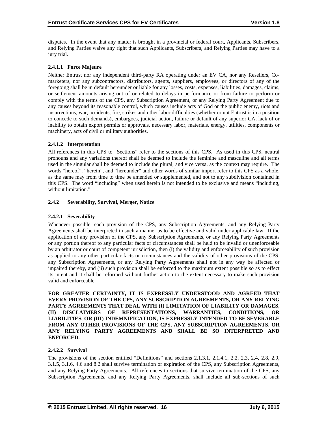disputes. In the event that any matter is brought in a provincial or federal court, Applicants, Subscribers, and Relying Parties waive any right that such Applicants, Subscribers, and Relying Parties may have to a jury trial.

# **2.4.1.1 Force Majeure**

Neither Entrust nor any independent third-party RA operating under an EV CA, nor any Resellers, Comarketers, nor any subcontractors, distributors, agents, suppliers, employees, or directors of any of the foregoing shall be in default hereunder or liable for any losses, costs, expenses, liabilities, damages, claims, or settlement amounts arising out of or related to delays in performance or from failure to perform or comply with the terms of the CPS, any Subscription Agreement, or any Relying Party Agreement due to any causes beyond its reasonable control, which causes include acts of God or the public enemy, riots and insurrections, war, accidents, fire, strikes and other labor difficulties (whether or not Entrust is in a position to concede to such demands), embargoes, judicial action, failure or default of any superior CA, lack of or inability to obtain export permits or approvals, necessary labor, materials, energy, utilities, components or machinery, acts of civil or military authorities.

# **2.4.1.2 Interpretation**

All references in this CPS to "Sections" refer to the sections of this CPS. As used in this CPS, neutral pronouns and any variations thereof shall be deemed to include the feminine and masculine and all terms used in the singular shall be deemed to include the plural, and vice versa, as the context may require. The words "hereof", "herein", and "hereunder" and other words of similar import refer to this CPS as a whole, as the same may from time to time be amended or supplemented, and not to any subdivision contained in this CPS. The word "including" when used herein is not intended to be exclusive and means "including, without limitation."

# **2.4.2 Severability, Survival, Merger, Notice**

# **2.4.2.1 Severability**

Whenever possible, each provision of the CPS, any Subscription Agreements, and any Relying Party Agreements shall be interpreted in such a manner as to be effective and valid under applicable law. If the application of any provision of the CPS, any Subscription Agreements, or any Relying Party Agreements or any portion thereof to any particular facts or circumstances shall be held to be invalid or unenforceable by an arbitrator or court of competent jurisdiction, then (i) the validity and enforceability of such provision as applied to any other particular facts or circumstances and the validity of other provisions of the CPS, any Subscription Agreements, or any Relying Party Agreements shall not in any way be affected or impaired thereby, and (ii) such provision shall be enforced to the maximum extent possible so as to effect its intent and it shall be reformed without further action to the extent necessary to make such provision valid and enforceable.

**FOR GREATER CERTAINTY, IT IS EXPRESSLY UNDERSTOOD AND AGREED THAT EVERY PROVISION OF THE CPS, ANY SUBSCRIPTION AGREEMENTS, OR ANY RELYING PARTY AGREEMENTS THAT DEAL WITH (I) LIMITATION OF LIABILITY OR DAMAGES, (II) DISCLAIMERS OF REPRESENTATIONS, WARRANTIES, CONDITIONS, OR LIABILITIES, OR (III) INDEMNIFICATION, IS EXPRESSLY INTENDED TO BE SEVERABLE FROM ANY OTHER PROVISIONS OF THE CPS, ANY SUBSCRIPTION AGREEMENTS, OR ANY RELYING PARTY AGREEMENTS AND SHALL BE SO INTERPRETED AND ENFORCED.** 

# **2.4.2.2 Survival**

The provisions of the section entitled "Definitions" and sections 2.1.3.1, 2.1.4.1, 2.2, 2.3, 2.4, 2.8, 2.9, 3.1.5, 3.1.6, 4.6 and 8.2 shall survive termination or expiration of the CPS, any Subscription Agreements, and any Relying Party Agreements. All references to sections that survive termination of the CPS, any Subscription Agreements, and any Relying Party Agreements, shall include all sub-sections of such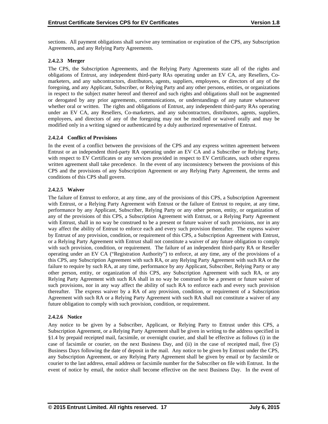sections. All payment obligations shall survive any termination or expiration of the CPS, any Subscription Agreements, and any Relying Party Agreements.

# **2.4.2.3 Merger**

The CPS, the Subscription Agreements, and the Relying Party Agreements state all of the rights and obligations of Entrust, any independent third-party RAs operating under an EV CA, any Resellers, Comarketers, and any subcontractors, distributors, agents, suppliers, employees, or directors of any of the foregoing, and any Applicant, Subscriber, or Relying Party and any other persons, entities, or organizations in respect to the subject matter hereof and thereof and such rights and obligations shall not be augmented or derogated by any prior agreements, communications, or understandings of any nature whatsoever whether oral or written. The rights and obligations of Entrust, any independent third-party RAs operating under an EV CA, any Resellers, Co-marketers, and any subcontractors, distributors, agents, suppliers, employees, and directors of any of the foregoing may not be modified or waived orally and may be modified only in a writing signed or authenticated by a duly authorized representative of Entrust.

# **2.4.2.4 Conflict of Provisions**

In the event of a conflict between the provisions of the CPS and any express written agreement between Entrust or an independent third-party RA operating under an EV CA and a Subscriber or Relying Party, with respect to EV Certificates or any services provided in respect to EV Certificates, such other express written agreement shall take precedence. In the event of any inconsistency between the provisions of this CPS and the provisions of any Subscription Agreement or any Relying Party Agreement, the terms and conditions of this CPS shall govern.

# **2.4.2.5 Waiver**

The failure of Entrust to enforce, at any time, any of the provisions of this CPS, a Subscription Agreement with Entrust, or a Relying Party Agreement with Entrust or the failure of Entrust to require, at any time, performance by any Applicant, Subscriber, Relying Party or any other person, entity, or organization of any of the provisions of this CPS, a Subscription Agreement with Entrust, or a Relying Party Agreement with Entrust, shall in no way be construed to be a present or future waiver of such provisions, nor in any way affect the ability of Entrust to enforce each and every such provision thereafter. The express waiver by Entrust of any provision, condition, or requirement of this CPS, a Subscription Agreement with Entrust, or a Relying Party Agreement with Entrust shall not constitute a waiver of any future obligation to comply with such provision, condition, or requirement. The failure of an independent third-party RA or Reseller operating under an EV CA ("Registration Authority") to enforce, at any time, any of the provisions of a this CPS, any Subscription Agreement with such RA, or any Relying Party Agreement with such RA or the failure to require by such RA, at any time, performance by any Applicant, Subscriber, Relying Party or any other person, entity, or organization of this CPS, any Subscription Agreement with such RA, or any Relying Party Agreement with such RA shall in no way be construed to be a present or future waiver of such provisions, nor in any way affect the ability of such RA to enforce each and every such provision thereafter. The express waiver by a RA of any provision, condition, or requirement of a Subscription Agreement with such RA or a Relying Party Agreement with such RA shall not constitute a waiver of any future obligation to comply with such provision, condition, or requirement.

# **2.4.2.6 Notice**

Any notice to be given by a Subscriber, Applicant, or Relying Party to Entrust under this CPS, a Subscription Agreement, or a Relying Party Agreement shall be given in writing to the address specified in §1.4 by prepaid receipted mail, facsimile, or overnight courier, and shall be effective as follows (i) in the case of facsimile or courier, on the next Business Day, and (ii) in the case of receipted mail, five (5) Business Days following the date of deposit in the mail. Any notice to be given by Entrust under the CPS, any Subscription Agreement, or any Relying Party Agreement shall be given by email or by facsimile or courier to the last address, email address or facsimile number for the Subscriber on file with Entrust. In the event of notice by email, the notice shall become effective on the next Business Day. In the event of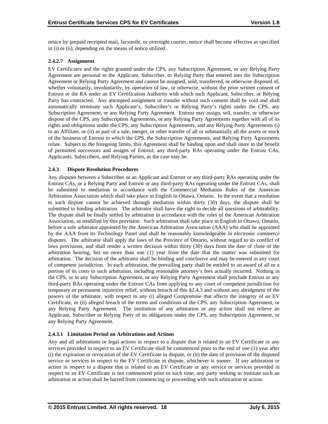notice by prepaid receipted mail, facsimile, or overnight courier, notice shall become effective as specified in (i) or (ii), depending on the means of notice utilized.

# **2.4.2.7 Assignment**

EV Certificates and the rights granted under the CPS, any Subscription Agreement, or any Relying Party Agreement are personal to the Applicant, Subscriber, or Relying Party that entered into the Subscription Agreement or Relying Party Agreement and cannot be assigned, sold, transferred, or otherwise disposed of, whether voluntarily, involuntarily, by operation of law, or otherwise, without the prior written consent of Entrust or the RA under an EV Certification Authority with which such Applicant, Subscriber, or Relying Party has contracted. Any attempted assignment or transfer without such consent shall be void and shall automatically terminate such Applicant's, Subscriber's or Relying Party's rights under the CPS, any Subscription Agreement, or any Relying Party Agreement. Entrust may assign, sell, transfer, or otherwise dispose of the CPS, any Subscription Agreements, or any Relying Party Agreements together with all of its rights and obligations under the CPS, any Subscription Agreements, and any Relying Party Agreements (i) to an Affiliate, or (ii) as part of a sale, merger, or other transfer of all or substantially all the assets or stock of the business of Entrust to which the CPS, the Subscription Agreements, and Relying Party Agreements relate. Subject to the foregoing limits, this Agreement shall be binding upon and shall inure to the benefit of permitted successors and assigns of Entrust, any third-party RAs operating under the Entrust CAs, Applicants, Subscribers, and Relying Parties, as the case may be.

# **2.4.3 Dispute Resolution Procedures**

Any disputes between a Subscriber or an Applicant and Entrust or any third-party RAs operating under the Entrust CAs, or a Relying Party and Entrust or any third-party RAs operating under the Entrust CAs, shall be submitted to mediation in accordance with the Commercial Mediation Rules of the American Arbitration Association which shall take place in English in Ottawa, Ontario. In the event that a resolution to such dispute cannot be achieved through mediation within thirty (30) days, the dispute shall be submitted to binding arbitration. The arbitrator shall have the right to decide all questions of arbitrability. The dispute shall be finally settled by arbitration in accordance with the rules of the American Arbitration Association, as modified by this provision. Such arbitration shall take place in English in Ottawa, Ontario, before a sole arbitrator appointed by the American Arbitration Association (AAA) who shall be appointed by the AAA from its Technology Panel and shall be reasonably knowledgeable in electronic commerce disputes. The arbitrator shall apply the laws of the Province of Ontario, without regard to its conflict of laws provisions, and shall render a written decision within thirty (30) days from the date of close of the arbitration hearing, but no more than one (1) year from the date that the matter was submitted for arbitration. The decision of the arbitrator shall be binding and conclusive and may be entered in any court of competent jurisdiction. In each arbitration, the prevailing party shall be entitled to an award of all or a portion of its costs in such arbitration, including reasonable attorney's fees actually incurred. Nothing in the CPS, or in any Subscription Agreement, or any Relying Party Agreement shall preclude Entrust or any third-party RAs operating under the Entrust CAs from applying to any court of competent jurisdiction for temporary or permanent injunctive relief, without breach of this §2.4.3 and without any abridgment of the powers of the arbitrator, with respect to any (i) alleged Compromise that affects the integrity of an EV Certificate, or (ii) alleged breach of the terms and conditions of the CPS, any Subscription Agreement, or any Relying Party Agreement. The institution of any arbitration or any action shall not relieve an Applicant, Subscriber or Relying Party of its obligations under the CPS, any Subscription Agreement, or any Relying Party Agreement.

# **2.4.3.1 Limitation Period on Arbitrations and Actions**

Any and all arbitrations or legal actions in respect to a dispute that is related to an EV Certificate or any services provided in respect to an EV Certificate shall be commenced prior to the end of one (1) year after (i) the expiration or revocation of the EV Certificate in dispute, or (ii) the date of provision of the disputed service or services in respect to the EV Certificate in dispute, whichever is sooner. If any arbitration or action in respect to a dispute that is related to an EV Certificate or any service or services provided in respect to an EV Certificate is not commenced prior to such time, any party seeking to institute such an arbitration or action shall be barred from commencing or proceeding with such arbitration or action.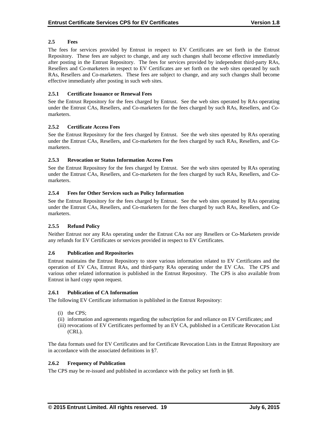# **2.5 Fees**

The fees for services provided by Entrust in respect to EV Certificates are set forth in the Entrust Repository. These fees are subject to change, and any such changes shall become effective immediately after posting in the Entrust Repository. The fees for services provided by independent third-party RAs, Resellers and Co-marketers in respect to EV Certificates are set forth on the web sites operated by such RAs, Resellers and Co-marketers. These fees are subject to change, and any such changes shall become effective immediately after posting in such web sites.

# **2.5.1 Certificate Issuance or Renewal Fees**

See the Entrust Repository for the fees charged by Entrust. See the web sites operated by RAs operating under the Entrust CAs, Resellers, and Co-marketers for the fees charged by such RAs, Resellers, and Comarketers.

# **2.5.2 Certificate Access Fees**

See the Entrust Repository for the fees charged by Entrust. See the web sites operated by RAs operating under the Entrust CAs, Resellers, and Co-marketers for the fees charged by such RAs, Resellers, and Comarketers.

# **2.5.3 Revocation or Status Information Access Fees**

See the Entrust Repository for the fees charged by Entrust. See the web sites operated by RAs operating under the Entrust CAs, Resellers, and Co-marketers for the fees charged by such RAs, Resellers, and Comarketers.

# **2.5.4 Fees for Other Services such as Policy Information**

See the Entrust Repository for the fees charged by Entrust. See the web sites operated by RAs operating under the Entrust CAs, Resellers, and Co-marketers for the fees charged by such RAs, Resellers, and Comarketers.

# **2.5.5 Refund Policy**

Neither Entrust nor any RAs operating under the Entrust CAs nor any Resellers or Co-Marketers provide any refunds for EV Certificates or services provided in respect to EV Certificates.

# **2.6 Publication and Repositories**

Entrust maintains the Entrust Repository to store various information related to EV Certificates and the operation of EV CAs, Entrust RAs, and third-party RAs operating under the EV CAs. The CPS and various other related information is published in the Entrust Repository. The CPS is also available from Entrust in hard copy upon request.

## **2.6.1 Publication of CA Information**

The following EV Certificate information is published in the Entrust Repository:

- (i) the CPS;
- (ii) information and agreements regarding the subscription for and reliance on EV Certificates; and
- (iii) revocations of EV Certificates performed by an EV CA, published in a Certificate Revocation List (CRL).

The data formats used for EV Certificates and for Certificate Revocation Lists in the Entrust Repository are in accordance with the associated definitions in §7.

## **2.6.2 Frequency of Publication**

The CPS may be re-issued and published in accordance with the policy set forth in §8.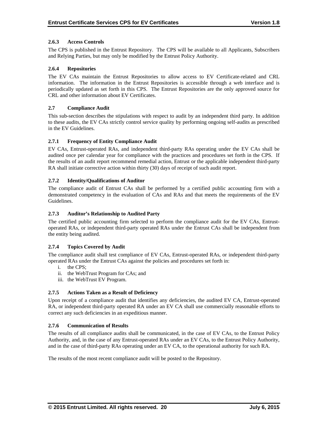# **2.6.3 Access Controls**

The CPS is published in the Entrust Repository. The CPS will be available to all Applicants, Subscribers and Relying Parties, but may only be modified by the Entrust Policy Authority.

# **2.6.4 Repositories**

The EV CAs maintain the Entrust Repositories to allow access to EV Certificate-related and CRL information. The information in the Entrust Repositories is accessible through a web interface and is periodically updated as set forth in this CPS. The Entrust Repositories are the only approved source for CRL and other information about EV Certificates.

# **2.7 Compliance Audit**

This sub-section describes the stipulations with respect to audit by an independent third party. In addition to these audits, the EV CAs strictly control service quality by performing ongoing self-audits as prescribed in the EV Guidelines.

# **2.7.1 Frequency of Entity Compliance Audit**

EV CAs, Entrust-operated RAs, and independent third-party RAs operating under the EV CAs shall be audited once per calendar year for compliance with the practices and procedures set forth in the CPS. If the results of an audit report recommend remedial action, Entrust or the applicable independent third-party RA shall initiate corrective action within thirty (30) days of receipt of such audit report.

# **2.7.2 Identity/Qualifications of Auditor**

The compliance audit of Entrust CAs shall be performed by a certified public accounting firm with a demonstrated competency in the evaluation of CAs and RAs and that meets the requirements of the EV Guidelines.

## **2.7.3 Auditor's Relationship to Audited Party**

The certified public accounting firm selected to perform the compliance audit for the EV CAs, Entrustoperated RAs, or independent third-party operated RAs under the Entrust CAs shall be independent from the entity being audited.

## **2.7.4 Topics Covered by Audit**

The compliance audit shall test compliance of EV CAs, Entrust-operated RAs, or independent third-party operated RAs under the Entrust CAs against the policies and procedures set forth in:

- i. the CPS;
- ii. the WebTrust Program for CAs; and
- iii. the WebTrust EV Program.

# **2.7.5 Actions Taken as a Result of Deficiency**

Upon receipt of a compliance audit that identifies any deficiencies, the audited EV CA, Entrust-operated RA, or independent third-party operated RA under an EV CA shall use commercially reasonable efforts to correct any such deficiencies in an expeditious manner.

## **2.7.6 Communication of Results**

The results of all compliance audits shall be communicated, in the case of EV CAs, to the Entrust Policy Authority, and, in the case of any Entrust-operated RAs under an EV CAs, to the Entrust Policy Authority, and in the case of third-party RAs operating under an EV CA, to the operational authority for such RA.

The results of the most recent compliance audit will be posted to the Repository.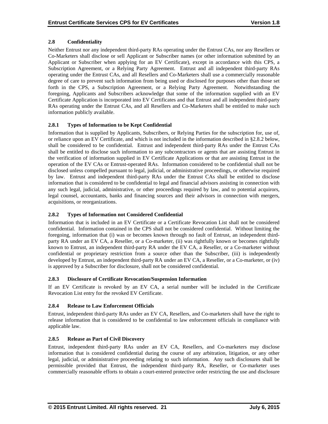# **2.8 Confidentiality**

Neither Entrust nor any independent third-party RAs operating under the Entrust CAs, nor any Resellers or Co-Marketers shall disclose or sell Applicant or Subscriber names (or other information submitted by an Applicant or Subscriber when applying for an EV Certificate), except in accordance with this CPS, a Subscription Agreement, or a Relying Party Agreement. Entrust and all independent third-party RAs operating under the Entrust CAs, and all Resellers and Co-Marketers shall use a commercially reasonable degree of care to prevent such information from being used or disclosed for purposes other than those set forth in the CPS, a Subscription Agreement, or a Relying Party Agreement. Notwithstanding the foregoing, Applicants and Subscribers acknowledge that some of the information supplied with an EV Certificate Application is incorporated into EV Certificates and that Entrust and all independent third-party RAs operating under the Entrust CAs, and all Resellers and Co-Marketers shall be entitled to make such information publicly available.

# **2.8.1 Types of Information to be Kept Confidential**

Information that is supplied by Applicants, Subscribers, or Relying Parties for the subscription for, use of, or reliance upon an EV Certificate, and which is not included in the information described in §2.8.2 below, shall be considered to be confidential. Entrust and independent third-party RAs under the Entrust CAs shall be entitled to disclose such information to any subcontractors or agents that are assisting Entrust in the verification of information supplied in EV Certificate Applications or that are assisting Entrust in the operation of the EV CAs or Entrust-operated RAs. Information considered to be confidential shall not be disclosed unless compelled pursuant to legal, judicial, or administrative proceedings, or otherwise required by law. Entrust and independent third-party RAs under the Entrust CAs shall be entitled to disclose information that is considered to be confidential to legal and financial advisors assisting in connection with any such legal, judicial, administrative, or other proceedings required by law, and to potential acquirors, legal counsel, accountants, banks and financing sources and their advisors in connection with mergers, acquisitions, or reorganizations.

# **2.8.2 Types of Information not Considered Confidential**

Information that is included in an EV Certificate or a Certificate Revocation List shall not be considered confidential. Information contained in the CPS shall not be considered confidential. Without limiting the foregoing, information that (i) was or becomes known through no fault of Entrust, an independent thirdparty RA under an EV CA, a Reseller, or a Co-marketer, (ii) was rightfully known or becomes rightfully known to Entrust, an independent third-party RA under the EV CA, a Reseller, or a Co-marketer without confidential or proprietary restriction from a source other than the Subscriber, (iii) is independently developed by Entrust, an independent third-party RA under an EV CA, a Reseller, or a Co-marketer, or (iv) is approved by a Subscriber for disclosure, shall not be considered confidential.

# **2.8.3 Disclosure of Certificate Revocation/Suspension Information**

If an EV Certificate is revoked by an EV CA, a serial number will be included in the Certificate Revocation List entry for the revoked EV Certificate.

# **2.8.4 Release to Law Enforcement Officials**

Entrust, independent third-party RAs under an EV CA, Resellers, and Co-marketers shall have the right to release information that is considered to be confidential to law enforcement officials in compliance with applicable law.

# **2.8.5 Release as Part of Civil Discovery**

Entrust, independent third-party RAs under an EV CA, Resellers, and Co-marketers may disclose information that is considered confidential during the course of any arbitration, litigation, or any other legal, judicial, or administrative proceeding relating to such information. Any such disclosures shall be permissible provided that Entrust, the independent third-party RA, Reseller, or Co-marketer uses commercially reasonable efforts to obtain a court-entered protective order restricting the use and disclosure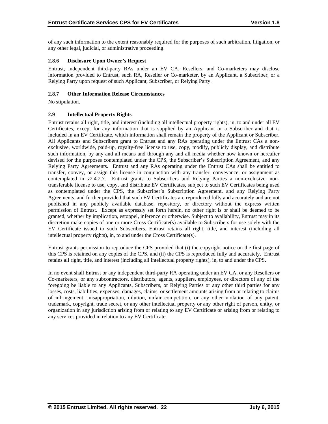of any such information to the extent reasonably required for the purposes of such arbitration, litigation, or any other legal, judicial, or administrative proceeding.

# **2.8.6 Disclosure Upon Owner's Request**

Entrust, independent third-party RAs under an EV CA, Resellers, and Co-marketers may disclose information provided to Entrust, such RA, Reseller or Co-marketer, by an Applicant, a Subscriber, or a Relying Party upon request of such Applicant, Subscriber, or Relying Party.

## **2.8.7 Other Information Release Circumstances**

No stipulation.

# **2.9 Intellectual Property Rights**

Entrust retains all right, title, and interest (including all intellectual property rights), in, to and under all EV Certificates, except for any information that is supplied by an Applicant or a Subscriber and that is included in an EV Certificate, which information shall remain the property of the Applicant or Subscriber. All Applicants and Subscribers grant to Entrust and any RAs operating under the Entrust CAs a nonexclusive, worldwide, paid-up, royalty-free license to use, copy, modify, publicly display, and distribute such information, by any and all means and through any and all media whether now known or hereafter devised for the purposes contemplated under the CPS, the Subscriber's Subscription Agreement, and any Relying Party Agreements. Entrust and any RAs operating under the Entrust CAs shall be entitled to transfer, convey, or assign this license in conjunction with any transfer, conveyance, or assignment as contemplated in §2.4.2.7. Entrust grants to Subscribers and Relying Parties a non-exclusive, nontransferable license to use, copy, and distribute EV Certificates, subject to such EV Certificates being used as contemplated under the CPS, the Subscriber's Subscription Agreement, and any Relying Party Agreements, and further provided that such EV Certificates are reproduced fully and accurately and are not published in any publicly available database, repository, or directory without the express written permission of Entrust. Except as expressly set forth herein, no other right is or shall be deemed to be granted, whether by implication, estoppel, inference or otherwise. Subject to availability, Entrust may in its discretion make copies of one or more Cross Certificate(s) available to Subscribers for use solely with the EV Certificate issued to such Subscribers. Entrust retains all right, title, and interest (including all intellectual property rights), in, to and under the Cross Certificate(s).

Entrust grants permission to reproduce the CPS provided that (i) the copyright notice on the first page of this CPS is retained on any copies of the CPS, and (ii) the CPS is reproduced fully and accurately. Entrust retains all right, title, and interest (including all intellectual property rights), in, to and under the CPS.

In no event shall Entrust or any independent third-party RA operating under an EV CA, or any Resellers or Co-marketers, or any subcontractors, distributors, agents, suppliers, employees, or directors of any of the foregoing be liable to any Applicants, Subscribers, or Relying Parties or any other third parties for any losses, costs, liabilities, expenses, damages, claims, or settlement amounts arising from or relating to claims of infringement, misappropriation, dilution, unfair competition, or any other violation of any patent, trademark, copyright, trade secret, or any other intellectual property or any other right of person, entity, or organization in any jurisdiction arising from or relating to any EV Certificate or arising from or relating to any services provided in relation to any EV Certificate.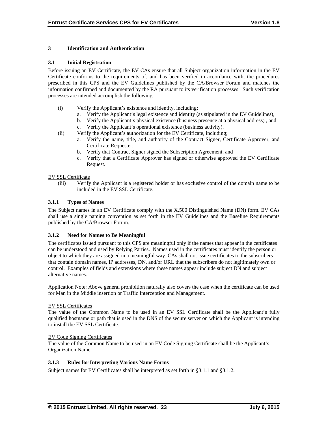# **3 Identification and Authentication**

## **3.1 Initial Registration**

Before issuing an EV Certificate, the EV CAs ensure that all Subject organization information in the EV Certificate conforms to the requirements of, and has been verified in accordance with, the procedures prescribed in this CPS and the EV Guidelines published by the CA/Browser Forum and matches the information confirmed and documented by the RA pursuant to its verification processes. Such verification processes are intended accomplish the following:

- (i) Verify the Applicant's existence and identity, including;
	- a. Verify the Applicant's legal existence and identity (as stipulated in the EV Guidelines),
	- b. Verify the Applicant's physical existence (business presence at a physical address) , and
	- c. Verify the Applicant's operational existence (business activity).
- (ii) Verify the Applicant's authorization for the EV Certificate, including;
	- a. Verify the name, title, and authority of the Contract Signer, Certificate Approver, and Certificate Requester;
	- b. Verify that Contract Signer signed the Subscription Agreement; and
	- c. Verify that a Certificate Approver has signed or otherwise approved the EV Certificate Request.

## EV SSL Certificate

(iii) Verify the Applicant is a registered holder or has exclusive control of the domain name to be included in the EV SSL Certificate.

# **3.1.1 Types of Names**

The Subject names in an EV Certificate comply with the X.500 Distinguished Name (DN) form. EV CAs shall use a single naming convention as set forth in the EV Guidelines and the Baseline Requirements published by the CA/Browser Forum.

# **3.1.2 Need for Names to Be Meaningful**

The certificates issued pursuant to this CPS are meaningful only if the names that appear in the certificates can be understood and used by Relying Parties. Names used in the certificates must identify the person or object to which they are assigned in a meaningful way. CAs shall not issue certificates to the subscribers that contain domain names, IP addresses, DN, and/or URL that the subscribers do not legitimately own or control. Examples of fields and extensions where these names appear include subject DN and subject alternative names.

Application Note: Above general prohibition naturally also covers the case when the certificate can be used for Man in the Middle insertion or Traffic Interception and Management.

## EV SSL Certificates

The value of the Common Name to be used in an EV SSL Certificate shall be the Applicant's fully qualified hostname or path that is used in the DNS of the secure server on which the Applicant is intending to install the EV SSL Certificate.

## EV Code Signing Certificates

The value of the Common Name to be used in an EV Code Signing Certificate shall be the Applicant's Organization Name.

## **3.1.3 Rules for Interpreting Various Name Forms**

Subject names for EV Certificates shall be interpreted as set forth in §3.1.1 and §3.1.2.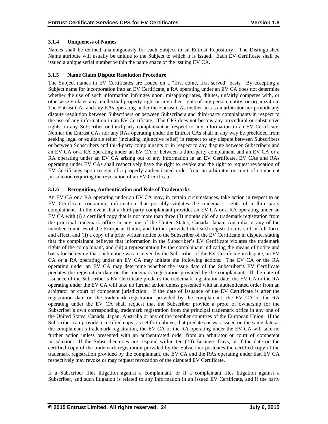# **3.1.4 Uniqueness of Names**

Names shall be defined unambiguously for each Subject in an Entrust Repository. The Distinguished Name attribute will usually be unique to the Subject to which it is issued. Each EV Certificate shall be issued a unique serial number within the name space of the issuing EV CA.

# **3.1.5 Name Claim Dispute Resolution Procedure**

The Subject names in EV Certificates are issued on a "first come, first served" basis. By accepting a Subject name for incorporation into an EV Certificate, a RA operating under an EV CA does not determine whether the use of such information infringes upon, misappropriates, dilutes, unfairly competes with, or otherwise violates any intellectual property right or any other rights of any person, entity, or organization. The Entrust CAs and any RAs operating under the Entrust CAs neither act as an arbitrator nor provide any dispute resolution between Subscribers or between Subscribers and third-party complainants in respect to the use of any information in an EV Certificate. The CPS does not bestow any procedural or substantive rights on any Subscriber or third-party complainant in respect to any information in an EV Certificate. Neither the Entrust CAs nor any RAs operating under the Entrust CAs shall in any way be precluded from seeking legal or equitable relief (including injunctive relief) in respect to any dispute between Subscribers or between Subscribers and third-party complainants or in respect to any dispute between Subscribers and an EV CA or a RA operating under an EV CA or between a third-party complainant and an EV CA or a RA operating under an EV CA arising out of any information in an EV Certificate. EV CAs and RAs operating under EV CAs shall respectively have the right to revoke and the right to request revocation of EV Certificates upon receipt of a properly authenticated order from an arbitrator or court of competent jurisdiction requiring the revocation of an EV Certificate.

# **3.1.6 Recognition, Authentication and Role of Trademarks**

An EV CA or a RA operating under an EV CA may, in certain circumstances, take action in respect to an EV Certificate containing information that possibly violates the trademark rights of a third-party complainant. In the event that a third-party complainant provides an EV CA or a RA operating under an EV CA with (i) a certified copy that is not more than three (3) months old of a trademark registration from the principal trademark office in any one of the United States, Canada, Japan, Australia or any of the member countries of the European Union, and further provided that such registration is still in full force and effect, and (ii) a copy of a prior written notice to the Subscriber of the EV Certificate in dispute, stating that the complainant believes that information in the Subscriber's EV Certificate violates the trademark rights of the complainant, and (iii) a representation by the complainant indicating the means of notice and basis for believing that such notice was received by the Subscriber of the EV Certificate in dispute, an EV CA or a RA operating under an EV CA may initiate the following actions. The EV CA or the RA operating under an EV CA may determine whether the issue date of the Subscriber's EV Certificate predates the registration date on the trademark registration provided by the complainant. If the date of issuance of the Subscriber's EV Certificate predates the trademark registration date, the EV CA or the RA operating under the EV CA will take no further action unless presented with an authenticated order from an arbitrator or court of competent jurisdiction. If the date of issuance of the EV Certificate is after the registration date on the trademark registration provided by the complainant, the EV CA or the RA operating under the EV CA shall request that the Subscriber provide a proof of ownership for the Subscriber's own corresponding trademark registration from the principal trademark office in any one of the United States, Canada, Japan, Australia or any of the member countries of the European Union. If the Subscriber can provide a certified copy, as set forth above, that predates or was issued on the same date as the complainant's trademark registration, the EV CA or the RA operating under the EV CA will take no further action unless presented with an authenticated order from an arbitrator or court of competent jurisdiction. If the Subscriber does not respond within ten (10) Business Days, or if the date on the certified copy of the trademark registration provided by the Subscriber postdates the certified copy of the trademark registration provided by the complainant, the EV CA and the RAs operating under that EV CA respectively may revoke or may request revocation of the disputed EV Certificate.

If a Subscriber files litigation against a complainant, or if a complainant files litigation against a Subscriber, and such litigation is related to any information in an issued EV Certificate, and if the party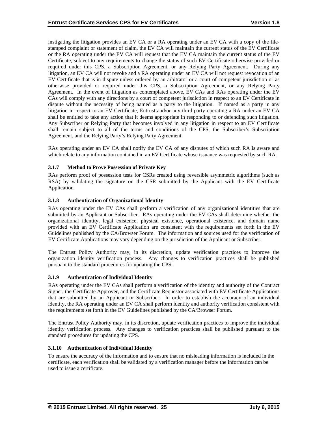instigating the litigation provides an EV CA or a RA operating under an EV CA with a copy of the filestamped complaint or statement of claim, the EV CA will maintain the current status of the EV Certificate or the RA operating under the EV CA will request that the EV CA maintain the current status of the EV Certificate, subject to any requirements to change the status of such EV Certificate otherwise provided or required under this CPS, a Subscription Agreement, or any Relying Party Agreement. During any litigation, an EV CA will not revoke and a RA operating under an EV CA will not request revocation of an EV Certificate that is in dispute unless ordered by an arbitrator or a court of competent jurisdiction or as otherwise provided or required under this CPS, a Subscription Agreement, or any Relying Party Agreement. In the event of litigation as contemplated above, EV CAs and RAs operating under the EV CAs will comply with any directions by a court of competent jurisdiction in respect to an EV Certificate in dispute without the necessity of being named as a party to the litigation. If named as a party in any litigation in respect to an EV Certificate, Entrust and/or any third party operating a RA under an EV CA shall be entitled to take any action that it deems appropriate in responding to or defending such litigation. Any Subscriber or Relying Party that becomes involved in any litigation in respect to an EV Certificate shall remain subject to all of the terms and conditions of the CPS, the Subscriber's Subscription Agreement, and the Relying Party's Relying Party Agreement.

RAs operating under an EV CA shall notify the EV CA of any disputes of which such RA is aware and which relate to any information contained in an EV Certificate whose issuance was requested by such RA.

# **3.1.7 Method to Prove Possession of Private Key**

RAs perform proof of possession tests for CSRs created using reversible asymmetric algorithms (such as RSA) by validating the signature on the CSR submitted by the Applicant with the EV Certificate Application.

## **3.1.8 Authentication of Organizational Identity**

RAs operating under the EV CAs shall perform a verification of any organizational identities that are submitted by an Applicant or Subscriber. RAs operating under the EV CAs shall determine whether the organizational identity, legal existence, physical existence, operational existence, and domain name provided with an EV Certificate Application are consistent with the requirements set forth in the EV Guidelines published by the CA/Browser Forum. The information and sources used for the verification of EV Certificate Applications may vary depending on the jurisdiction of the Applicant or Subscriber.

The Entrust Policy Authority may, in its discretion, update verification practices to improve the organization identity verification process. Any changes to verification practices shall be published pursuant to the standard procedures for updating the CPS.

## **3.1.9 Authentication of Individual Identity**

RAs operating under the EV CAs shall perform a verification of the identity and authority of the Contract Signer, the Certificate Approver, and the Certificate Requestor associated with EV Certificate Applications that are submitted by an Applicant or Subscriber. In order to establish the accuracy of an individual identity, the RA operating under an EV CA shall perform identity and authority verification consistent with the requirements set forth in the EV Guidelines published by the CA/Browser Forum.

The Entrust Policy Authority may, in its discretion, update verification practices to improve the individual identity verification process. Any changes to verification practices shall be published pursuant to the standard procedures for updating the CPS.

## **3.1.10 Authentication of Individual Identity**

To ensure the accuracy of the information and to ensure that no misleading information is included in the certificate, each verification shall be validated by a verification manager before the information can be used to issue a certificate.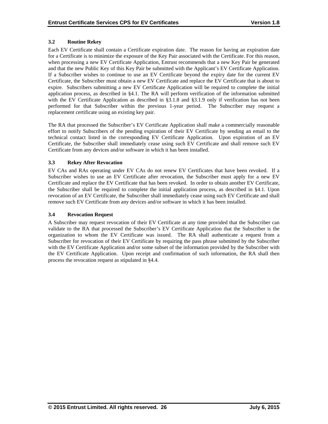# **3.2 Routine Rekey**

Each EV Certificate shall contain a Certificate expiration date. The reason for having an expiration date for a Certificate is to minimize the exposure of the Key Pair associated with the Certificate. For this reason, when processing a new EV Certificate Application, Entrust recommends that a new Key Pair be generated and that the new Public Key of this Key Pair be submitted with the Applicant's EV Certificate Application. If a Subscriber wishes to continue to use an EV Certificate beyond the expiry date for the current EV Certificate, the Subscriber must obtain a new EV Certificate and replace the EV Certificate that is about to expire. Subscribers submitting a new EV Certificate Application will be required to complete the initial application process, as described in §4.1. The RA will perform verification of the information submitted with the EV Certificate Application as described in §3.1.8 and §3.1.9 only if verification has not been performed for that Subscriber within the previous 1-year period. The Subscriber may request a replacement certificate using an existing key pair.

The RA that processed the Subscriber's EV Certificate Application shall make a commercially reasonable effort to notify Subscribers of the pending expiration of their EV Certificate by sending an email to the technical contact listed in the corresponding EV Certificate Application. Upon expiration of an EV Certificate, the Subscriber shall immediately cease using such EV Certificate and shall remove such EV Certificate from any devices and/or software in which it has been installed.

# **3.3 Rekey After Revocation**

EV CAs and RAs operating under EV CAs do not renew EV Certificates that have been revoked. If a Subscriber wishes to use an EV Certificate after revocation, the Subscriber must apply for a new EV Certificate and replace the EV Certificate that has been revoked. In order to obtain another EV Certificate, the Subscriber shall be required to complete the initial application process, as described in §4.1. Upon revocation of an EV Certificate, the Subscriber shall immediately cease using such EV Certificate and shall remove such EV Certificate from any devices and/or software in which it has been installed.

# **3.4 Revocation Request**

A Subscriber may request revocation of their EV Certificate at any time provided that the Subscriber can validate to the RA that processed the Subscriber's EV Certificate Application that the Subscriber is the organization to whom the EV Certificate was issued. The RA shall authenticate a request from a Subscriber for revocation of their EV Certificate by requiring the pass phrase submitted by the Subscriber with the EV Certificate Application and/or some subset of the information provided by the Subscriber with the EV Certificate Application. Upon receipt and confirmation of such information, the RA shall then process the revocation request as stipulated in §4.4.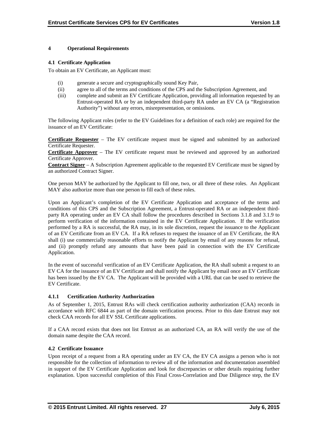# **4 Operational Requirements**

## **4.1 Certificate Application**

To obtain an EV Certificate, an Applicant must:

- (i) generate a secure and cryptographically sound Key Pair,
- (ii) agree to all of the terms and conditions of the CPS and the Subscription Agreement, and
- (iii) complete and submit an EV Certificate Application, providing all information requested by an Entrust-operated RA or by an independent third-party RA under an EV CA (a "Registration Authority") without any errors, misrepresentation, or omissions.

The following Applicant roles (refer to the EV Guidelines for a definition of each role) are required for the issuance of an EV Certificate:

**Certificate Requester** – The EV certificate request must be signed and submitted by an authorized Certificate Requester.

**Certificate Approver** – The EV certificate request must be reviewed and approved by an authorized Certificate Approver.

**Contract Signer** – A Subscription Agreement applicable to the requested EV Certificate must be signed by an authorized Contract Signer.

One person MAY be authorized by the Applicant to fill one, two, or all three of these roles. An Applicant MAY also authorize more than one person to fill each of these roles.

Upon an Applicant's completion of the EV Certificate Application and acceptance of the terms and conditions of this CPS and the Subscription Agreement, a Entrust-operated RA or an independent thirdparty RA operating under an EV CA shall follow the procedures described in Sections 3.1.8 and 3.1.9 to perform verification of the information contained in the EV Certificate Application. If the verification performed by a RA is successful, the RA may, in its sole discretion, request the issuance to the Applicant of an EV Certificate from an EV CA. If a RA refuses to request the issuance of an EV Certificate, the RA shall (i) use commercially reasonable efforts to notify the Applicant by email of any reasons for refusal, and (ii) promptly refund any amounts that have been paid in connection with the EV Certificate Application.

In the event of successful verification of an EV Certificate Application, the RA shall submit a request to an EV CA for the issuance of an EV Certificate and shall notify the Applicant by email once an EV Certificate has been issued by the EV CA. The Applicant will be provided with a URL that can be used to retrieve the EV Certificate.

## **4.1.1 Certification Authority Authorization**

As of September 1, 2015, Entrust RAs will check certification authority authorization (CAA) records in accordance with RFC 6844 as part of the domain verification process. Prior to this date Entrust may not check CAA records for all EV SSL Certificate applications.

If a CAA record exists that does not list Entrust as an authorized CA, an RA will verify the use of the domain name despite the CAA record.

## **4.2 Certificate Issuance**

Upon receipt of a request from a RA operating under an EV CA, the EV CA assigns a person who is not responsible for the collection of information to review all of the information and documentation assembled in support of the EV Certificate Application and look for discrepancies or other details requiring further explanation. Upon successful completion of this Final Cross-Correlation and Due Diligence step, the EV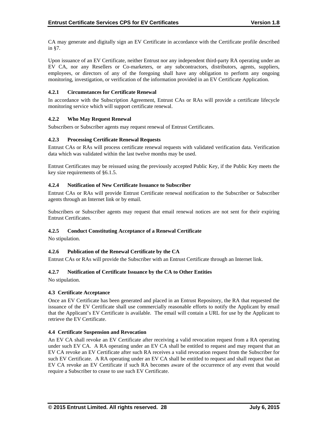CA may generate and digitally sign an EV Certificate in accordance with the Certificate profile described in §7.

Upon issuance of an EV Certificate, neither Entrust nor any independent third-party RA operating under an EV CA, nor any Resellers or Co-marketers, or any subcontractors, distributors, agents, suppliers, employees, or directors of any of the foregoing shall have any obligation to perform any ongoing monitoring, investigation, or verification of the information provided in an EV Certificate Application.

# **4.2.1 Circumstances for Certificate Renewal**

In accordance with the Subscription Agreement, Entrust CAs or RAs will provide a certificate lifecycle monitoring service which will support certificate renewal.

# **4.2.2 Who May Request Renewal**

Subscribers or Subscriber agents may request renewal of Entrust Certificates.

# **4.2.3 Processing Certificate Renewal Requests**

Entrust CAs or RAs will process certificate renewal requests with validated verification data. Verification data which was validated within the last twelve months may be used.

Entrust Certificates may be reissued using the previously accepted Public Key, if the Public Key meets the key size requirements of §6.1.5.

# **4.2.4 Notification of New Certificate Issuance to Subscriber**

Entrust CAs or RAs will provide Entrust Certificate renewal notification to the Subscriber or Subscriber agents through an Internet link or by email.

Subscribers or Subscriber agents may request that email renewal notices are not sent for their expiring Entrust Certificates.

## **4.2.5 Conduct Constituting Acceptance of a Renewal Certificate**

No stipulation.

# **4.2.6 Publication of the Renewal Certificate by the CA**

Entrust CAs or RAs will provide the Subscriber with an Entrust Certificate through an Internet link.

## **4.2.7 Notification of Certificate Issuance by the CA to Other Entities**

No stipulation.

## **4.3 Certificate Acceptance**

Once an EV Certificate has been generated and placed in an Entrust Repository, the RA that requested the issuance of the EV Certificate shall use commercially reasonable efforts to notify the Applicant by email that the Applicant's EV Certificate is available. The email will contain a URL for use by the Applicant to retrieve the EV Certificate.

## **4.4 Certificate Suspension and Revocation**

An EV CA shall revoke an EV Certificate after receiving a valid revocation request from a RA operating under such EV CA. A RA operating under an EV CA shall be entitled to request and may request that an EV CA revoke an EV Certificate after such RA receives a valid revocation request from the Subscriber for such EV Certificate. A RA operating under an EV CA shall be entitled to request and shall request that an EV CA revoke an EV Certificate if such RA becomes aware of the occurrence of any event that would require a Subscriber to cease to use such EV Certificate.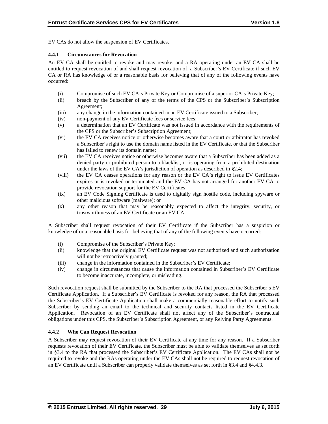EV CAs do not allow the suspension of EV Certificates.

# **4.4.1 Circumstances for Revocation**

An EV CA shall be entitled to revoke and may revoke, and a RA operating under an EV CA shall be entitled to request revocation of and shall request revocation of, a Subscriber's EV Certificate if such EV CA or RA has knowledge of or a reasonable basis for believing that of any of the following events have occurred:

- (i) Compromise of such EV CA's Private Key or Compromise of a superior CA's Private Key;
- (ii) breach by the Subscriber of any of the terms of the CPS or the Subscriber's Subscription Agreement;
- (iii) any change in the information contained in an EV Certificate issued to a Subscriber;
- (iv) non-payment of any EV Certificate fees or service fees;
- (v) a determination that an EV Certificate was not issued in accordance with the requirements of the CPS or the Subscriber's Subscription Agreement;
- (vi) the EV CA receives notice or otherwise becomes aware that a court or arbitrator has revoked a Subscriber's right to use the domain name listed in the EV Certificate, or that the Subscriber has failed to renew its domain name;
- (vii) the EV CA receives notice or otherwise becomes aware that a Subscriber has been added as a denied party or prohibited person to a blacklist, or is operating from a prohibited destination under the laws of the EV CA's jurisdiction of operation as described in §2.4;
- (viii) the EV CA ceases operations for any reason or the EV CA's right to issue EV Certificates expires or is revoked or terminated and the EV CA has not arranged for another EV CA to provide revocation support for the EV Certificates;
- (ix) an EV Code Signing Certificate is used to digitally sign hostile code, including spyware or other malicious software (malware); or
- (x) any other reason that may be reasonably expected to affect the integrity, security, or trustworthiness of an EV Certificate or an EV CA.

A Subscriber shall request revocation of their EV Certificate if the Subscriber has a suspicion or knowledge of or a reasonable basis for believing that of any of the following events have occurred:

- (i) Compromise of the Subscriber's Private Key;
- (ii) knowledge that the original EV Certificate request was not authorized and such authorization will not be retroactively granted;
- (iii) change in the information contained in the Subscriber's EV Certificate;
- (iv) change in circumstances that cause the information contained in Subscriber's EV Certificate to become inaccurate, incomplete, or misleading.

Such revocation request shall be submitted by the Subscriber to the RA that processed the Subscriber's EV Certificate Application. If a Subscriber's EV Certificate is revoked for any reason, the RA that processed the Subscriber's EV Certificate Application shall make a commercially reasonable effort to notify such Subscriber by sending an email to the technical and security contacts listed in the EV Certificate Application. Revocation of an EV Certificate shall not affect any of the Subscriber's contractual obligations under this CPS, the Subscriber's Subscription Agreement, or any Relying Party Agreements.

## **4.4.2 Who Can Request Revocation**

A Subscriber may request revocation of their EV Certificate at any time for any reason. If a Subscriber requests revocation of their EV Certificate, the Subscriber must be able to validate themselves as set forth in §3.4 to the RA that processed the Subscriber's EV Certificate Application. The EV CAs shall not be required to revoke and the RAs operating under the EV CAs shall not be required to request revocation of an EV Certificate until a Subscriber can properly validate themselves as set forth in §3.4 and §4.4.3.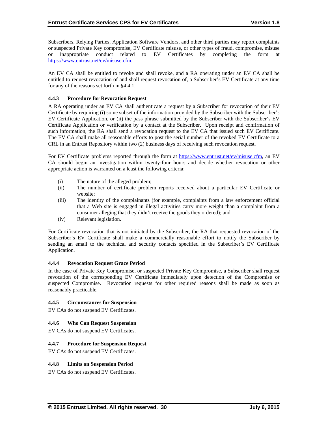Subscribers, Relying Parties, Application Software Vendors, and other third parties may report complaints or suspected Private Key compromise, EV Certificate misuse, or other types of fraud, compromise, misuse or inappropriate conduct related to EV Certificates by completing the form at https://www.entrust.net/ev/misuse.cfm.

An EV CA shall be entitled to revoke and shall revoke, and a RA operating under an EV CA shall be entitled to request revocation of and shall request revocation of, a Subscriber's EV Certificate at any time for any of the reasons set forth in §4.4.1.

# **4.4.3 Procedure for Revocation Request**

A RA operating under an EV CA shall authenticate a request by a Subscriber for revocation of their EV Certificate by requiring (i) some subset of the information provided by the Subscriber with the Subscriber's EV Certificate Application, or (ii) the pass phrase submitted by the Subscriber with the Subscriber's EV Certificate Application or verification by a contact at the Subscriber. Upon receipt and confirmation of such information, the RA shall send a revocation request to the EV CA that issued such EV Certificate. The EV CA shall make all reasonable efforts to post the serial number of the revoked EV Certificate to a CRL in an Entrust Repository within two (2) business days of receiving such revocation request.

For EV Certificate problems reported through the form at https://www.entrust.net/ev/misuse.cfm, an EV CA should begin an investigation within twenty-four hours and decide whether revocation or other appropriate action is warranted on a least the following criteria:

- (i) The nature of the alleged problem;
- (ii) The number of certificate problem reports received about a particular EV Certificate or website;
- (iii) The identity of the complainants (for example, complaints from a law enforcement official that a Web site is engaged in illegal activities carry more weight than a complaint from a consumer alleging that they didn't receive the goods they ordered); and
- (iv) Relevant legislation.

For Certificate revocation that is not initiated by the Subscriber, the RA that requested revocation of the Subscriber's EV Certificate shall make a commercially reasonable effort to notify the Subscriber by sending an email to the technical and security contacts specified in the Subscriber's EV Certificate Application.

# **4.4.4 Revocation Request Grace Period**

In the case of Private Key Compromise, or suspected Private Key Compromise, a Subscriber shall request revocation of the corresponding EV Certificate immediately upon detection of the Compromise or suspected Compromise. Revocation requests for other required reasons shall be made as soon as reasonably practicable.

## **4.4.5 Circumstances for Suspension**

EV CAs do not suspend EV Certificates.

# **4.4.6 Who Can Request Suspension**

EV CAs do not suspend EV Certificates.

## **4.4.7 Procedure for Suspension Request**

EV CAs do not suspend EV Certificates.

## **4.4.8 Limits on Suspension Period**

EV CAs do not suspend EV Certificates.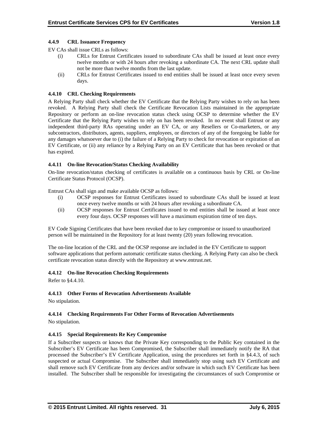## **4.4.9 CRL Issuance Frequency**

EV CAs shall issue CRLs as follows:

- (i) CRLs for Entrust Certificates issued to subordinate CAs shall be issued at least once every twelve months or with 24 hours after revoking a subordinate CA. The next CRL update shall not be more than twelve months from the last update.
- (ii) CRLs for Entrust Certificates issued to end entities shall be issued at least once every seven days.

## **4.4.10 CRL Checking Requirements**

A Relying Party shall check whether the EV Certificate that the Relying Party wishes to rely on has been revoked. A Relying Party shall check the Certificate Revocation Lists maintained in the appropriate Repository or perform an on-line revocation status check using OCSP to determine whether the EV Certificate that the Relying Party wishes to rely on has been revoked. In no event shall Entrust or any independent third-party RAs operating under an EV CA, or any Resellers or Co-marketers, or any subcontractors, distributors, agents, suppliers, employees, or directors of any of the foregoing be liable for any damages whatsoever due to (i) the failure of a Relying Party to check for revocation or expiration of an EV Certificate, or (ii) any reliance by a Relying Party on an EV Certificate that has been revoked or that has expired.

## **4.4.11 On-line Revocation/Status Checking Availability**

On-line revocation/status checking of certificates is available on a continuous basis by CRL or On-line Certificate Status Protocol (OCSP).

Entrust CAs shall sign and make available OCSP as follows:

- (i) OCSP responses for Entrust Certificates issued to subordinate CAs shall be issued at least once every twelve months or with 24 hours after revoking a subordinate CA.
- (ii) OCSP responses for Entrust Certificates issued to end entities shall be issued at least once every four days. OCSP responses will have a maximum expiration time of ten days.

EV Code Signing Certificates that have been revoked due to key compromise or issued to unauthorized person will be maintained in the Repository for at least twenty (20) years following revocation.

The on-line location of the CRL and the OCSP response are included in the EV Certificate to support software applications that perform automatic certificate status checking. A Relying Party can also be check certificate revocation status directly with the Repository at www.entrust.net.

## **4.4.12 On-line Revocation Checking Requirements**

Refer to §4.4.10.

## **4.4.13 Other Forms of Revocation Advertisements Available**

No stipulation.

# **4.4.14 Checking Requirements For Other Forms of Revocation Advertisements**

No stipulation.

## **4.4.15 Special Requirements Re Key Compromise**

If a Subscriber suspects or knows that the Private Key corresponding to the Public Key contained in the Subscriber's EV Certificate has been Compromised, the Subscriber shall immediately notify the RA that processed the Subscriber's EV Certificate Application, using the procedures set forth in §4.4.3, of such suspected or actual Compromise. The Subscriber shall immediately stop using such EV Certificate and shall remove such EV Certificate from any devices and/or software in which such EV Certificate has been installed. The Subscriber shall be responsible for investigating the circumstances of such Compromise or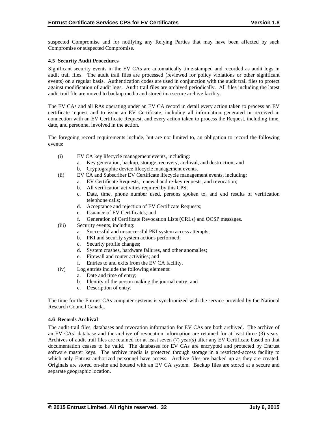suspected Compromise and for notifying any Relying Parties that may have been affected by such Compromise or suspected Compromise.

## **4.5 Security Audit Procedures**

Significant security events in the EV CAs are automatically time-stamped and recorded as audit logs in audit trail files. The audit trail files are processed (reviewed for policy violations or other significant events) on a regular basis. Authentication codes are used in conjunction with the audit trail files to protect against modification of audit logs. Audit trail files are archived periodically. All files including the latest audit trail file are moved to backup media and stored in a secure archive facility.

The EV CAs and all RAs operating under an EV CA record in detail every action taken to process an EV certificate request and to issue an EV Certificate, including all information generated or received in connection with an EV Certificate Request, and every action taken to process the Request, including time, date, and personnel involved in the action.

The foregoing record requirements include, but are not limited to, an obligation to record the following events:

- (i) EV CA key lifecycle management events, including:
	- a. Key generation, backup, storage, recovery, archival, and destruction; and b. Cryptographic device lifecycle management events.
- (ii) EV CA and Subscriber EV Certificate lifecycle management events, including:
	- a. EV Certificate Requests, renewal and re-key requests, and revocation;
		- b. All verification activities required by this CPS;
		- c. Date, time, phone number used, persons spoken to, and end results of verification telephone calls;
		- d. Acceptance and rejection of EV Certificate Requests;
		- e. Issuance of EV Certificates; and
		- f. Generation of Certificate Revocation Lists (CRLs) and OCSP messages.
- (iii) Security events, including:
	- a. Successful and unsuccessful PKI system access attempts;
	- b. PKI and security system actions performed;
	- c. Security profile changes;
	- d. System crashes, hardware failures, and other anomalies;
	- e. Firewall and router activities; and
	- f. Entries to and exits from the EV CA facility.
- (iv) Log entries include the following elements:
	- a. Date and time of entry;
	- b. Identity of the person making the journal entry; and
	- c. Description of entry.

The time for the Entrust CAs computer systems is synchronized with the service provided by the National Research Council Canada.

#### **4.6 Records Archival**

The audit trail files, databases and revocation information for EV CAs are both archived. The archive of an EV CAs' database and the archive of revocation information are retained for at least three (3) years. Archives of audit trail files are retained for at least seven (7) year(s) after any EV Certificate based on that documentation ceases to be valid. The databases for EV CAs are encrypted and protected by Entrust software master keys. The archive media is protected through storage in a restricted-access facility to which only Entrust-authorized personnel have access. Archive files are backed up as they are created. Originals are stored on-site and housed with an EV CA system. Backup files are stored at a secure and separate geographic location.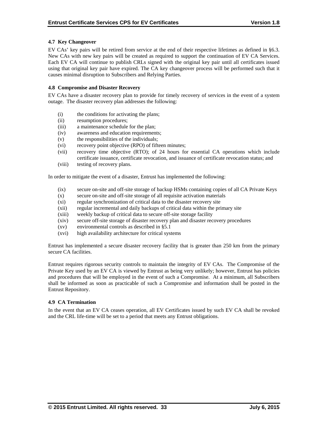## **4.7 Key Changeover**

EV CAs' key pairs will be retired from service at the end of their respective lifetimes as defined in §6.3. New CAs with new key pairs will be created as required to support the continuation of EV CA Services. Each EV CA will continue to publish CRLs signed with the original key pair until all certificates issued using that original key pair have expired. The CA key changeover process will be performed such that it causes minimal disruption to Subscribers and Relying Parties.

## **4.8 Compromise and Disaster Recovery**

EV CAs have a disaster recovery plan to provide for timely recovery of services in the event of a system outage. The disaster recovery plan addresses the following:

- (i) the conditions for activating the plans;
- (ii) resumption procedures;
- (iii) a maintenance schedule for the plan;
- (iv) awareness and education requirements;
- (v) the responsibilities of the individuals;
- (vi) recovery point objective (RPO) of fifteen minutes;
- (vii) recovery time objective (RTO); of 24 hours for essential CA operations which include certificate issuance, certificate revocation, and issuance of certificate revocation status; and
- (viii) testing of recovery plans.

In order to mitigate the event of a disaster, Entrust has implemented the following:

- (ix) secure on-site and off-site storage of backup HSMs containing copies of all CA Private Keys
- (x) secure on-site and off-site storage of all requisite activation materials
- (xi) regular synchronization of critical data to the disaster recovery site
- (xii) regular incremental and daily backups of critical data within the primary site
- (xiii) weekly backup of critical data to secure off-site storage facility
- (xiv) secure off-site storage of disaster recovery plan and disaster recovery procedures
- (xv) environmental controls as described in §5.1
- (xvi) high availability architecture for critical systems

Entrust has implemented a secure disaster recovery facility that is greater than 250 km from the primary secure CA facilities.

Entrust requires rigorous security controls to maintain the integrity of EV CAs. The Compromise of the Private Key used by an EV CA is viewed by Entrust as being very unlikely; however, Entrust has policies and procedures that will be employed in the event of such a Compromise. At a minimum, all Subscribers shall be informed as soon as practicable of such a Compromise and information shall be posted in the Entrust Repository.

## **4.9 CA Termination**

In the event that an EV CA ceases operation, all EV Certificates issued by such EV CA shall be revoked and the CRL life-time will be set to a period that meets any Entrust obligations.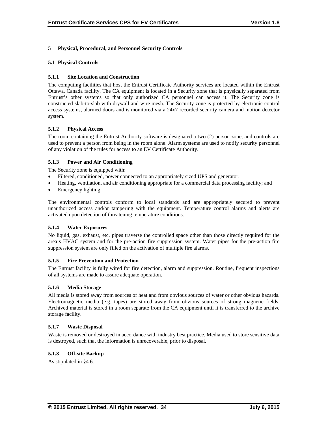# **5 Physical, Procedural, and Personnel Security Controls**

## **5.1 Physical Controls**

# **5.1.1 Site Location and Construction**

The computing facilities that host the Entrust Certificate Authority services are located within the Entrust Ottawa, Canada facility. The CA equipment is located in a Security zone that is physically separated from Entrust's other systems so that only authorized CA personnel can access it. The Security zone is constructed slab-to-slab with drywall and wire mesh. The Security zone is protected by electronic control access systems, alarmed doors and is monitored via a 24x7 recorded security camera and motion detector system.

# **5.1.2 Physical Access**

The room containing the Entrust Authority software is designated a two (2) person zone, and controls are used to prevent a person from being in the room alone. Alarm systems are used to notify security personnel of any violation of the rules for access to an EV Certificate Authority.

# **5.1.3 Power and Air Conditioning**

The Security zone is equipped with:

- Filtered, conditioned, power connected to an appropriately sized UPS and generator;
- Heating, ventilation, and air conditioning appropriate for a commercial data processing facility; and
- Emergency lighting.

The environmental controls conform to local standards and are appropriately secured to prevent unauthorized access and/or tampering with the equipment. Temperature control alarms and alerts are activated upon detection of threatening temperature conditions.

## **5.1.4 Water Exposures**

No liquid, gas, exhaust, etc. pipes traverse the controlled space other than those directly required for the area's HVAC system and for the pre-action fire suppression system. Water pipes for the pre-action fire suppression system are only filled on the activation of multiple fire alarms.

## **5.1.5 Fire Prevention and Protection**

The Entrust facility is fully wired for fire detection, alarm and suppression. Routine, frequent inspections of all systems are made to assure adequate operation.

## **5.1.6 Media Storage**

All media is stored away from sources of heat and from obvious sources of water or other obvious hazards. Electromagnetic media (e.g. tapes) are stored away from obvious sources of strong magnetic fields. Archived material is stored in a room separate from the CA equipment until it is transferred to the archive storage facility.

## **5.1.7 Waste Disposal**

Waste is removed or destroyed in accordance with industry best practice. Media used to store sensitive data is destroyed, such that the information is unrecoverable, prior to disposal.

# **5.1.8 Off-site Backup**

As stipulated in §4.6.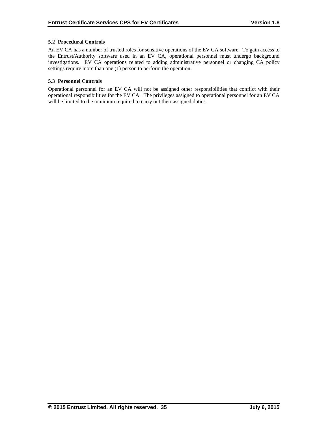# **5.2 Procedural Controls**

An EV CA has a number of trusted roles for sensitive operations of the EV CA software. To gain access to the Entrust/Authority software used in an EV CA, operational personnel must undergo background investigations. EV CA operations related to adding administrative personnel or changing CA policy settings require more than one (1) person to perform the operation.

# **5.3 Personnel Controls**

Operational personnel for an EV CA will not be assigned other responsibilities that conflict with their operational responsibilities for the EV CA. The privileges assigned to operational personnel for an EV CA will be limited to the minimum required to carry out their assigned duties.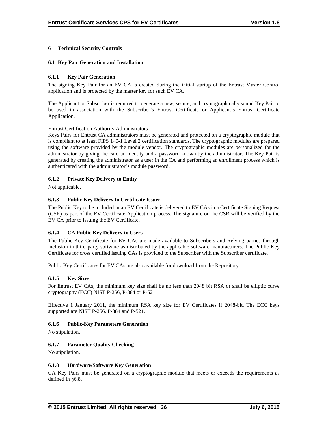# **6 Technical Security Controls**

## **6.1 Key Pair Generation and Installation**

## **6.1.1 Key Pair Generation**

The signing Key Pair for an EV CA is created during the initial startup of the Entrust Master Control application and is protected by the master key for such EV CA.

The Applicant or Subscriber is required to generate a new, secure, and cryptographically sound Key Pair to be used in association with the Subscriber's Entrust Certificate or Applicant's Entrust Certificate Application.

## Entrust Certification Authority Administrators

Keys Pairs for Entrust CA administrators must be generated and protected on a cryptographic module that is compliant to at least FIPS 140-1 Level 2 certification standards. The cryptographic modules are prepared using the software provided by the module vendor. The cryptographic modules are personalized for the administrator by giving the card an identity and a password known by the administrator. The Key Pair is generated by creating the administrator as a user in the CA and performing an enrollment process which is authenticated with the administrator's module password.

# **6.1.2 Private Key Delivery to Entity**

Not applicable.

# **6.1.3 Public Key Delivery to Certificate Issuer**

The Public Key to be included in an EV Certificate is delivered to EV CAs in a Certificate Signing Request (CSR) as part of the EV Certificate Application process. The signature on the CSR will be verified by the EV CA prior to issuing the EV Certificate.

# **6.1.4 CA Public Key Delivery to Users**

The Public-Key Certificate for EV CAs are made available to Subscribers and Relying parties through inclusion in third party software as distributed by the applicable software manufacturers. The Public Key Certificate for cross certified issuing CAs is provided to the Subscriber with the Subscriber certificate.

Public Key Certificates for EV CAs are also available for download from the Repository.

## **6.1.5 Key Sizes**

For Entrust EV CAs, the minimum key size shall be no less than 2048 bit RSA or shall be elliptic curve cryptography (ECC) NIST P-256, P-384 or P-521.

Effective 1 January 2011, the minimum RSA key size for EV Certificates if 2048-bit. The ECC keys supported are NIST P-256, P-384 and P-521.

## **6.1.6 Public-Key Parameters Generation**

No stipulation.

## **6.1.7 Parameter Quality Checking**

No stipulation.

## **6.1.8 Hardware/Software Key Generation**

CA Key Pairs must be generated on a cryptographic module that meets or exceeds the requirements as defined in §6.8.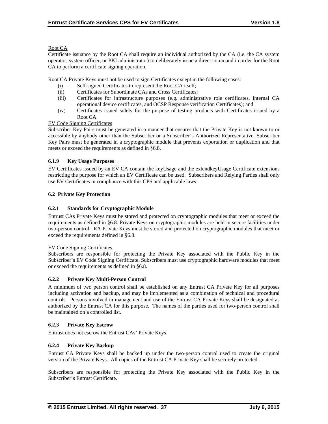# Root CA

Certificate issuance by the Root CA shall require an individual authorized by the CA (i.e. the CA system operator, system officer, or PKI administrator) to deliberately issue a direct command in order for the Root CA to perform a certificate signing operation.

Root CA Private Keys must not be used to sign Certificates except in the following cases:

- (i) Self-signed Certificates to represent the Root CA itself;
- (ii) Certificates for Subordinate CAs and Cross Certificates;
- (iii) Certificates for infrastructure purposes (e.g. administrative role certificates, internal CA operational device certificates, and OCSP Response verification Certificates); and
- (iv) Certificates issued solely for the purpose of testing products with Certificates issued by a Root CA.

# EV Code Signing Certificates

Subscriber Key Pairs must be generated in a manner that ensures that the Private Key is not known to or accessible by anybody other than the Subscriber or a Subscriber's Authorized Representative. Subscriber Key Pairs must be generated in a cryptographic module that prevents exportation or duplication and that meets or exceed the requirements as defined in §6.8.

# **6.1.9 Key Usage Purposes**

EV Certificates issued by an EV CA contain the keyUsage and the extendkeyUsage Certificate extensions restricting the purpose for which an EV Certificate can be used. Subscribers and Relying Parties shall only use EV Certificates in compliance with this CPS and applicable laws.

# **6.2 Private Key Protection**

# **6.2.1 Standards for Cryptographic Module**

Entrust CAs Private Keys must be stored and protected on cryptographic modules that meet or exceed the requirements as defined in §6.8. Private Keys on cryptographic modules are held in secure facilities under two-person control. RA Private Keys must be stored and protected on cryptographic modules that meet or exceed the requirements defined in §6.8.

## EV Code Signing Certificates

Subscribers are responsible for protecting the Private Key associated with the Public Key in the Subscriber's EV Code Signing Certificate. Subscribers must use cryptographic hardware modules that meet or exceed the requirements as defined in §6.8.

## **6.2.2 Private Key Multi-Person Control**

A minimum of two person control shall be established on any Entrust CA Private Key for all purposes including activation and backup, and may be implemented as a combination of technical and procedural controls. Persons involved in management and use of the Entrust CA Private Keys shall be designated as authorized by the Entrust CA for this purpose. The names of the parties used for two-person control shall be maintained on a controlled list.

# **6.2.3 Private Key Escrow**

Entrust does not escrow the Entrust CAs' Private Keys.

# **6.2.4 Private Key Backup**

Entrust CA Private Keys shall be backed up under the two-person control used to create the original version of the Private Keys. All copies of the Entrust CA Private Key shall be securely protected.

Subscribers are responsible for protecting the Private Key associated with the Public Key in the Subscriber's Entrust Certificate.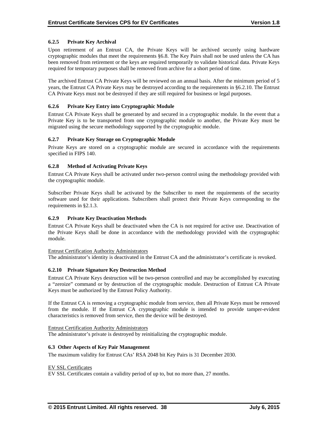# **6.2.5 Private Key Archival**

Upon retirement of an Entrust CA, the Private Keys will be archived securely using hardware cryptographic modules that meet the requirements §6.8. The Key Pairs shall not be used unless the CA has been removed from retirement or the keys are required temporarily to validate historical data. Private Keys required for temporary purposes shall be removed from archive for a short period of time.

The archived Entrust CA Private Keys will be reviewed on an annual basis. After the minimum period of 5 years, the Entrust CA Private Keys may be destroyed according to the requirements in §6.2.10. The Entrust CA Private Keys must not be destroyed if they are still required for business or legal purposes.

## **6.2.6 Private Key Entry into Cryptographic Module**

Entrust CA Private Keys shall be generated by and secured in a cryptographic module. In the event that a Private Key is to be transported from one cryptographic module to another, the Private Key must be migrated using the secure methodology supported by the cryptographic module.

# **6.2.7 Private Key Storage on Cryptographic Module**

Private Keys are stored on a cryptographic module are secured in accordance with the requirements specified in FIPS 140.

# **6.2.8 Method of Activating Private Keys**

Entrust CA Private Keys shall be activated under two-person control using the methodology provided with the cryptographic module.

Subscriber Private Keys shall be activated by the Subscriber to meet the requirements of the security software used for their applications. Subscribers shall protect their Private Keys corresponding to the requirements in §2.1.3.

# **6.2.9 Private Key Deactivation Methods**

Entrust CA Private Keys shall be deactivated when the CA is not required for active use. Deactivation of the Private Keys shall be done in accordance with the methodology provided with the cryptographic module.

## Entrust Certification Authority Administrators

The administrator's identity is deactivated in the Entrust CA and the administrator's certificate is revoked.

## **6.2.10 Private Signature Key Destruction Method**

Entrust CA Private Keys destruction will be two-person controlled and may be accomplished by executing a "zeroize" command or by destruction of the cryptographic module. Destruction of Entrust CA Private Keys must be authorized by the Entrust Policy Authority.

If the Entrust CA is removing a cryptographic module from service, then all Private Keys must be removed from the module. If the Entrust CA cryptographic module is intended to provide tamper-evident characteristics is removed from service, then the device will be destroyed.

## Entrust Certification Authority Administrators

The administrator's private is destroyed by reinitializing the cryptographic module.

## **6.3 Other Aspects of Key Pair Management**

The maximum validity for Entrust CAs' RSA 2048 bit Key Pairs is 31 December 2030.

EV SSL Certificates

EV SSL Certificates contain a validity period of up to, but no more than, 27 months.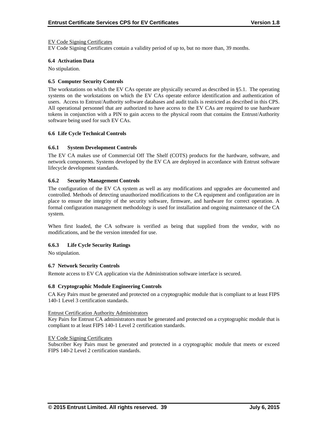#### EV Code Signing Certificates

EV Code Signing Certificates contain a validity period of up to, but no more than, 39 months.

#### **6.4 Activation Data**

No stipulation.

#### **6.5 Computer Security Controls**

The workstations on which the EV CAs operate are physically secured as described in §5.1. The operating systems on the workstations on which the EV CAs operate enforce identification and authentication of users. Access to Entrust/Authority software databases and audit trails is restricted as described in this CPS. All operational personnel that are authorized to have access to the EV CAs are required to use hardware tokens in conjunction with a PIN to gain access to the physical room that contains the Entrust/Authority software being used for such EV CAs.

#### **6.6 Life Cycle Technical Controls**

## **6.6.1 System Development Controls**

The EV CA makes use of Commercial Off The Shelf (COTS) products for the hardware, software, and network components. Systems developed by the EV CA are deployed in accordance with Entrust software lifecycle development standards.

## **6.6.2 Security Management Controls**

The configuration of the EV CA system as well as any modifications and upgrades are documented and controlled. Methods of detecting unauthorized modifications to the CA equipment and configuration are in place to ensure the integrity of the security software, firmware, and hardware for correct operation. A formal configuration management methodology is used for installation and ongoing maintenance of the CA system.

When first loaded, the CA software is verified as being that supplied from the vendor, with no modifications, and be the version intended for use.

## **6.6.3 Life Cycle Security Ratings**

No stipulation.

#### **6.7 Network Security Controls**

Remote access to EV CA application via the Administration software interface is secured.

#### **6.8 Cryptographic Module Engineering Controls**

CA Key Pairs must be generated and protected on a cryptographic module that is compliant to at least FIPS 140-1 Level 3 certification standards.

#### Entrust Certification Authority Administrators

Key Pairs for Entrust CA administrators must be generated and protected on a cryptographic module that is compliant to at least FIPS 140-1 Level 2 certification standards.

## EV Code Signing Certificates

Subscriber Key Pairs must be generated and protected in a cryptographic module that meets or exceed FIPS 140-2 Level 2 certification standards.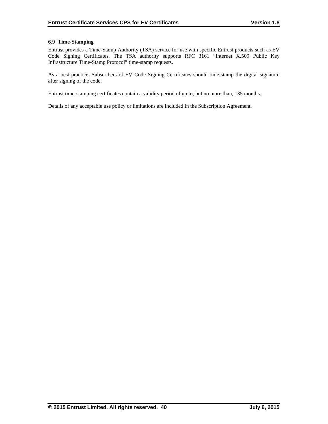## **6.9 Time-Stamping**

Entrust provides a Time-Stamp Authority (TSA) service for use with specific Entrust products such as EV Code Signing Certificates. The TSA authority supports RFC 3161 "Internet X.509 Public Key Infrastructure Time-Stamp Protocol" time-stamp requests.

As a best practice, Subscribers of EV Code Signing Certificates should time-stamp the digital signature after signing of the code.

Entrust time-stamping certificates contain a validity period of up to, but no more than, 135 months.

Details of any acceptable use policy or limitations are included in the Subscription Agreement.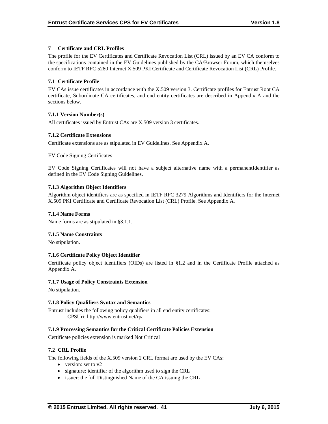# **7 Certificate and CRL Profiles**

The profile for the EV Certificates and Certificate Revocation List (CRL) issued by an EV CA conform to the specifications contained in the EV Guidelines published by the CA/Browser Forum, which themselves conform to IETF RFC 5280 Internet X.509 PKI Certificate and Certificate Revocation List (CRL) Profile.

# **7.1 Certificate Profile**

EV CAs issue certificates in accordance with the X.509 version 3. Certificate profiles for Entrust Root CA certificate, Subordinate CA certificates, and end entity certificates are described in Appendix A and the sections below.

# **7.1.1 Version Number(s)**

All certificates issued by Entrust CAs are X.509 version 3 certificates.

# **7.1.2 Certificate Extensions**

Certificate extensions are as stipulated in EV Guidelines. See Appendix A.

# EV Code Signing Certificates

EV Code Signing Certificates will not have a subject alternative name with a permanentIdentifier as defined in the EV Code Signing Guidelines.

# **7.1.3 Algorithm Object Identifiers**

Algorithm object identifiers are as specified in IETF RFC 3279 Algorithms and Identifiers for the Internet X.509 PKI Certificate and Certificate Revocation List (CRL) Profile. See Appendix A.

## **7.1.4 Name Forms**

Name forms are as stipulated in §3.1.1.

## **7.1.5 Name Constraints**

No stipulation.

## **7.1.6 Certificate Policy Object Identifier**

Certificate policy object identifiers (OIDs) are listed in §1.2 and in the Certificate Profile attached as Appendix A.

## **7.1.7 Usage of Policy Constraints Extension**

No stipulation.

## **7.1.8 Policy Qualifiers Syntax and Semantics**

Entrust includes the following policy qualifiers in all end entity certificates: CPSUri: http://www.entrust.net/rpa

## **7.1.9 Processing Semantics for the Critical Certificate Policies Extension**

Certificate policies extension is marked Not Critical

## **7.2 CRL Profile**

The following fields of the X.509 version 2 CRL format are used by the EV CAs:

- version: set to v2
- signature: identifier of the algorithm used to sign the CRL
- issuer: the full Distinguished Name of the CA issuing the CRL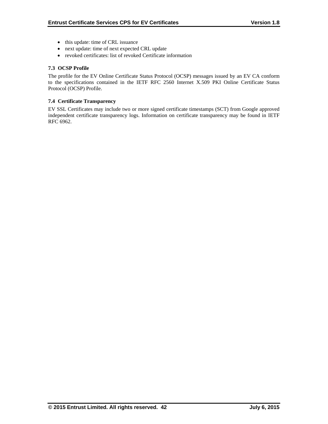- this update: time of CRL issuance
- next update: time of next expected CRL update
- revoked certificates: list of revoked Certificate information

# **7.3 OCSP Profile**

The profile for the EV Online Certificate Status Protocol (OCSP) messages issued by an EV CA conform to the specifications contained in the IETF RFC 2560 Internet X.509 PKI Online Certificate Status Protocol (OCSP) Profile.

## **7.4 Certificate Transparency**

EV SSL Certificates may include two or more signed certificate timestamps (SCT) from Google approved independent certificate transparency logs. Information on certificate transparency may be found in IETF RFC 6962.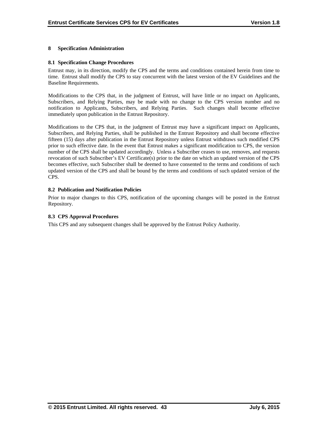# **8 Specification Administration**

## **8.1 Specification Change Procedures**

Entrust may, in its direction, modify the CPS and the terms and conditions contained herein from time to time. Entrust shall modify the CPS to stay concurrent with the latest version of the EV Guidelines and the Baseline Requirements.

Modifications to the CPS that, in the judgment of Entrust, will have little or no impact on Applicants, Subscribers, and Relying Parties, may be made with no change to the CPS version number and no notification to Applicants, Subscribers, and Relying Parties. Such changes shall become effective immediately upon publication in the Entrust Repository.

Modifications to the CPS that, in the judgment of Entrust may have a significant impact on Applicants, Subscribers, and Relying Parties, shall be published in the Entrust Repository and shall become effective fifteen (15) days after publication in the Entrust Repository unless Entrust withdraws such modified CPS prior to such effective date. In the event that Entrust makes a significant modification to CPS, the version number of the CPS shall be updated accordingly. Unless a Subscriber ceases to use, removes, and requests revocation of such Subscriber's EV Certificate(s) prior to the date on which an updated version of the CPS becomes effective, such Subscriber shall be deemed to have consented to the terms and conditions of such updated version of the CPS and shall be bound by the terms and conditions of such updated version of the CPS.

# **8.2 Publication and Notification Policies**

Prior to major changes to this CPS, notification of the upcoming changes will be posted in the Entrust Repository.

# **8.3 CPS Approval Procedures**

This CPS and any subsequent changes shall be approved by the Entrust Policy Authority.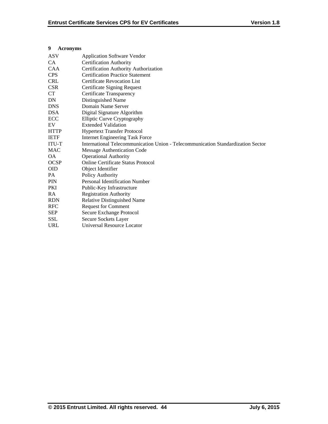# **9 Acronyms**

| <b>ASV</b>   | <b>Application Software Vendor</b>                                               |
|--------------|----------------------------------------------------------------------------------|
| CA           | <b>Certification Authority</b>                                                   |
| <b>CAA</b>   | Certification Authority Authorization                                            |
| <b>CPS</b>   | <b>Certification Practice Statement</b>                                          |
| <b>CRL</b>   | <b>Certificate Revocation List</b>                                               |
| <b>CSR</b>   | <b>Certificate Signing Request</b>                                               |
| <b>CT</b>    | Certificate Transparency                                                         |
| DN           | Distinguished Name                                                               |
| <b>DNS</b>   | Domain Name Server                                                               |
| <b>DSA</b>   | Digital Signature Algorithm                                                      |
| ECC          | <b>Elliptic Curve Cryptography</b>                                               |
| EV           | <b>Extended Validation</b>                                                       |
| <b>HTTP</b>  | <b>Hypertext Transfer Protocol</b>                                               |
| <b>IETF</b>  | <b>Internet Engineering Task Force</b>                                           |
| <b>ITU-T</b> | International Telecommunication Union - Telecommunication Standardization Sector |
| <b>MAC</b>   | <b>Message Authentication Code</b>                                               |
| OA.          | <b>Operational Authority</b>                                                     |
| <b>OCSP</b>  | <b>Online Certificate Status Protocol</b>                                        |
| <b>OID</b>   | Object Identifier                                                                |
| PA           | Policy Authority                                                                 |
| <b>PIN</b>   | <b>Personal Identification Number</b>                                            |
| <b>PKI</b>   | Public-Key Infrastructure                                                        |
| RA           | Registration Authority                                                           |
| <b>RDN</b>   | <b>Relative Distinguished Name</b>                                               |
| <b>RFC</b>   | <b>Request for Comment</b>                                                       |
| <b>SEP</b>   | Secure Exchange Protocol                                                         |
| <b>SSL</b>   | Secure Sockets Layer                                                             |
| <b>URL</b>   | Universal Resource Locator                                                       |
|              |                                                                                  |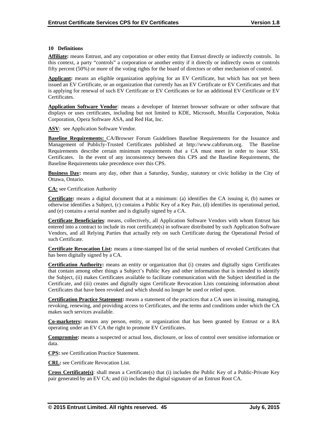## **10 Definitions**

**Affiliate:** means Entrust, and any corporation or other entity that Entrust directly or indirectly controls. In this context, a party "controls" a corporation or another entity if it directly or indirectly owns or controls fifty percent (50%) or more of the voting rights for the board of directors or other mechanism of control.

**Applicant:** means an eligible organization applying for an EV Certificate, but which has not yet been issued an EV Certificate, or an organization that currently has an EV Certificate or EV Certificates and that is applying for renewal of such EV Certificate or EV Certificates or for an additional EV Certificate or EV Certificates.

**Application Software Vendor**: means a developer of Internet browser software or other software that displays or uses certificates, including but not limited to KDE, Microsoft, Mozilla Corporation, Nokia Corporation, Opera Software ASA, and Red Hat, Inc.

**ASV**: see Application Software Vendor.

**Baseline Requirements:** CA/Browser Forum Guidelines Baseline Requirements for the Issuance and Management of Publicly-Trusted Certificates published at http://www.cabforum.org. The Baseline Requirements describe certain minimum requirements that a CA must meet in order to issue SSL Certificates. In the event of any inconsistency between this CPS and the Baseline Requirements, the Baseline Requirements take precedence over this CPS.

**Business Day:** means any day, other than a Saturday, Sunday, statutory or civic holiday in the City of Ottawa, Ontario.

**CA:** see Certification Authority

**Certificate:** means a digital document that at a minimum: (a) identifies the CA issuing it, (b) names or otherwise identifies a Subject, (c) contains a Public Key of a Key Pair, (d) identifies its operational period, and (e) contains a serial number and is digitally signed by a CA.

**Certificate Beneficiaries**: means, collectively, all Application Software Vendors with whom Entrust has entered into a contract to include its root certificate(s) in software distributed by such Application Software Vendors, and all Relying Parties that actually rely on such Certificate during the Operational Period of such Certificate.

**Certificate Revocation List:** means a time-stamped list of the serial numbers of revoked Certificates that has been digitally signed by a CA.

**Certification Authority:** means an entity or organization that (i) creates and digitally signs Certificates that contain among other things a Subject's Public Key and other information that is intended to identify the Subject, (ii) makes Certificates available to facilitate communication with the Subject identified in the Certificate, and (iii) creates and digitally signs Certificate Revocation Lists containing information about Certificates that have been revoked and which should no longer be used or relied upon.

**Certification Practice Statement:** means a statement of the practices that a CA uses in issuing, managing, revoking, renewing, and providing access to Certificates, and the terms and conditions under which the CA makes such services available.

**Co-marketers:** means any person, entity, or organization that has been granted by Entrust or a RA operating under an EV CA the right to promote EV Certificates.

**Compromise:** means a suspected or actual loss, disclosure, or loss of control over sensitive information or data.

**CPS:** see Certification Practice Statement.

**CRL:** see Certificate Revocation List.

**Cross Certificate(s)**: shall mean a Certificate(s) that (i) includes the Public Key of a Public-Private Key pair generated by an EV CA; and (ii) includes the digital signature of an Entrust Root CA.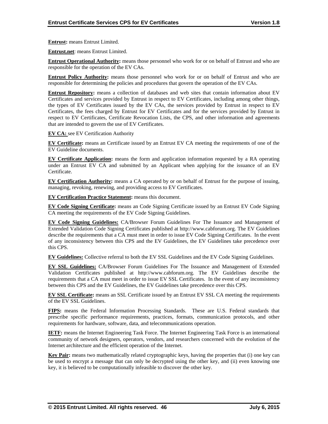**Entrust:** means Entrust Limited.

**Entrust.net**: means Entrust Limited.

**Entrust Operational Authority:** means those personnel who work for or on behalf of Entrust and who are responsible for the operation of the EV CAs.

**Entrust Policy Authority:** means those personnel who work for or on behalf of Entrust and who are responsible for determining the policies and procedures that govern the operation of the EV CAs.

**Entrust Repository:** means a collection of databases and web sites that contain information about EV Certificates and services provided by Entrust in respect to EV Certificates, including among other things, the types of EV Certificates issued by the EV CAs, the services provided by Entrust in respect to EV Certificates, the fees charged by Entrust for EV Certificates and for the services provided by Entrust in respect to EV Certificates, Certificate Revocation Lists, the CPS, and other information and agreements that are intended to govern the use of EV Certificates.

**EV CA:** see EV Certification Authority

**EV Certificate:** means an Certificate issued by an Entrust EV CA meeting the requirements of one of the EV Guideline documents.

**EV Certificate Application:** means the form and application information requested by a RA operating under an Entrust EV CA and submitted by an Applicant when applying for the issuance of an EV Certificate.

**EV Certification Authority:** means a CA operated by or on behalf of Entrust for the purpose of issuing, managing, revoking, renewing, and providing access to EV Certificates.

**EV Certification Practice Statement:** means this document.

**EV Code Signing Certificate:** means an Code Signing Certificate issued by an Entrust EV Code Signing CA meeting the requirements of the EV Code Signing Guidelines.

**EV Code Signing Guidelines:** CA/Browser Forum Guidelines For The Issuance and Management of Extended Validation Code Signing Certificates published at http://www.cabforum.org. The EV Guidelines describe the requirements that a CA must meet in order to issue EV Code Signing Certificates. In the event of any inconsistency between this CPS and the EV Guidelines, the EV Guidelines take precedence over this CPS.

**EV Guidelines:** Collective referral to both the EV SSL Guidelines and the EV Code Signing Guidelines.

**EV SSL Guidelines:** CA/Browser Forum Guidelines For The Issuance and Management of Extended Validation Certificates published at http://www.cabforum.org. The EV Guidelines describe the requirements that a CA must meet in order to issue EV SSL Certificates. In the event of any inconsistency between this CPS and the EV Guidelines, the EV Guidelines take precedence over this CPS.

**EV SSL Certificate:** means an SSL Certificate issued by an Entrust EV SSL CA meeting the requirements of the EV SSL Guidelines.

**FIPS:** means the Federal Information Processing Standards. These are U.S. Federal standards that prescribe specific performance requirements, practices, formats, communication protocols, and other requirements for hardware, software, data, and telecommunications operation.

**IETF:** means the Internet Engineering Task Force. The Internet Engineering Task Force is an international community of network designers, operators, vendors, and researchers concerned with the evolution of the Internet architecture and the efficient operation of the Internet.

**Key Pair:** means two mathematically related cryptographic keys, having the properties that (i) one key can be used to encrypt a message that can only be decrypted using the other key, and (ii) even knowing one key, it is believed to be computationally infeasible to discover the other key.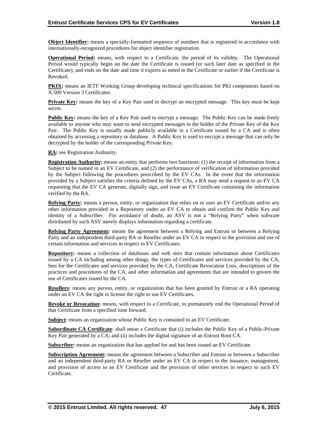**Object Identifier:** means a specially-formatted sequence of numbers that is registered in accordance with internationally-recognized procedures for object identifier registration.

**Operational Period:** means, with respect to a Certificate, the period of its validity. The Operational Period would typically begin on the date the Certificate is issued (or such later date as specified in the Certificate), and ends on the date and time it expires as noted in the Certificate or earlier if the Certificate is Revoked.

**PKIX:** means an IETF Working Group developing technical specifications for PKI components based on X.509 Version 3 Certificates.

**Private Key:** means the key of a Key Pair used to decrypt an encrypted message. This key must be kept secret.

**Public Key:** means the key of a Key Pair used to encrypt a message. The Public Key can be made freely available to anyone who may want to send encrypted messages to the holder of the Private Key of the Key Pair. The Public Key is usually made publicly available in a Certificate issued by a CA and is often obtained by accessing a repository or database. A Public Key is used to encrypt a message that can only be decrypted by the holder of the corresponding Private Key.

**RA:** see Registration Authority.

**Registration Authority:** means an entity that performs two functions: (1) the receipt of information from a Subject to be named in an EV Certificate, and (2) the performance of verification of information provided by the Subject following the procedures prescribed by the EV CAs. In the event that the information provided by a Subject satisfies the criteria defined by the EV CAs, a RA may send a request to an EV CA requesting that the EV CA generate, digitally sign, and issue an EV Certificate containing the information verified by the RA.

**Relying Party:** means a person, entity, or organization that relies on or uses an EV Certificate and/or any other information provided in a Repository under an EV CA to obtain and confirm the Public Key and identity of a Subscriber. For avoidance of doubt, an ASV is not a "Relying Party" when software distributed by such ASV merely displays information regarding a certificate.

**Relying Party Agreement:** means the agreement between a Relying and Entrust or between a Relying Party and an independent third-party RA or Reseller under an EV CA in respect to the provision and use of certain information and services in respect to EV Certificates.

**Repository:** means a collection of databases and web sites that contain information about Certificates issued by a CA including among other things, the types of Certificates and services provided by the CA, fees for the Certificates and services provided by the CA, Certificate Revocation Lists, descriptions of the practices and procedures of the CA, and other information and agreements that are intended to govern the use of Certificates issued by the CA.

**Resellers:** means any person, entity, or organization that has been granted by Entrust or a RA operating under an EV CA the right to license the right to use EV Certificates.

**Revoke or Revocation:** means, with respect to a Certificate, to prematurely end the Operational Period of that Certificate from a specified time forward.

**Subject:** means an organization whose Public Key is contained in an EV Certificate.

**Subordinate CA Certificate**: shall mean a Certificate that (i) includes the Public Key of a Public-Private Key Pair generated by a CA; and (ii) includes the digital signature of an Entrust Root CA.

**Subscriber:** means an organization that has applied for and has been issued an EV Certificate.

**Subscription Agreement:** means the agreement between a Subscriber and Entrust or between a Subscriber and an independent third-party RA or Reseller under an EV CA in respect to the issuance, management, and provision of access to an EV Certificate and the provision of other services in respect to such EV Certificate.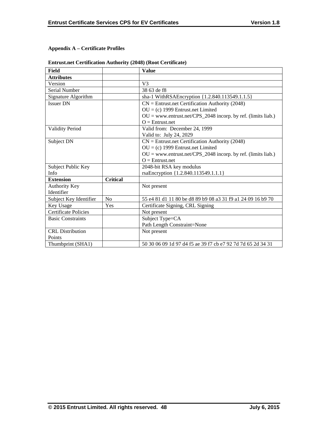# **Appendix A – Certificate Profiles**

| <b>Entrust.net Certification Authority (2048) (Root Certificate)</b> |  |  |
|----------------------------------------------------------------------|--|--|
|                                                                      |  |  |

| <b>Field</b>                |                 | <b>Value</b>                                                   |
|-----------------------------|-----------------|----------------------------------------------------------------|
| <b>Attributes</b>           |                 |                                                                |
| Version                     |                 | V <sub>3</sub>                                                 |
| Serial Number               |                 | 38 63 de f8                                                    |
| Signature Algorithm         |                 | sha-1 WithRSAEncryption {1.2.840.113549.1.1.5}                 |
| <b>Issuer DN</b>            |                 | $CN =$ Entrust.net Certification Authority (2048)              |
|                             |                 | $OU = (c)$ 1999 Entrust.net Limited                            |
|                             |                 | $OU = www.entrust.net/CPS_2048 incorp. by ref. (limits liab.)$ |
|                             |                 | $O =$ Entrust.net                                              |
| <b>Validity Period</b>      |                 | Valid from: December 24, 1999                                  |
|                             |                 | Valid to: July 24, 2029                                        |
| Subject DN                  |                 | $CN =$ Entrust.net Certification Authority (2048)              |
|                             |                 | $OU = (c)$ 1999 Entrust.net Limited                            |
|                             |                 | $OU = www.entrust.net/CPS_2048 incorp. by ref. (limits liab.)$ |
|                             |                 | $Q =$ Entrust.net                                              |
| Subject Public Key          |                 | 2048-bit RSA key modulus                                       |
| Info                        |                 | rsaEncryption {1.2.840.113549.1.1.1}                           |
| <b>Extension</b>            | <b>Critical</b> |                                                                |
| <b>Authority Key</b>        |                 | Not present                                                    |
| Identifier                  |                 |                                                                |
| Subject Key Identifier      | N <sub>0</sub>  | 55 e4 81 d1 11 80 be d8 89 b9 08 a3 31 f9 a1 24 09 16 b9 70    |
| Key Usage                   | Yes             | Certificate Signing, CRL Signing                               |
| <b>Certificate Policies</b> |                 | Not present                                                    |
| <b>Basic Constraints</b>    |                 | Subject Type=CA                                                |
|                             |                 | Path Length Constraint=None                                    |
| <b>CRL</b> Distribution     |                 | Not present                                                    |
| Points                      |                 |                                                                |
| Thumbprint (SHA1)           |                 | 50 30 06 09 1d 97 d4 f5 ae 39 f7 cb e7 92 7d 7d 65 2d 34 31    |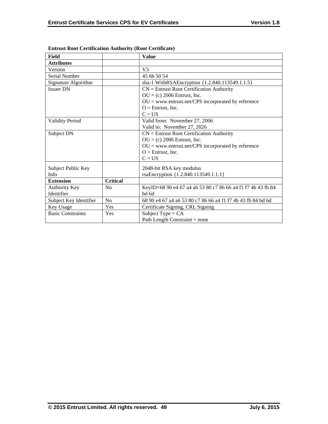| <b>Field</b>                       |                 | <b>Value</b>                                                         |
|------------------------------------|-----------------|----------------------------------------------------------------------|
| <b>Attributes</b>                  |                 |                                                                      |
| Version                            |                 | V <sub>3</sub>                                                       |
| Serial Number                      |                 | 45 6b 50 54                                                          |
| Signature Algorithm                |                 | sha-1 WithRSAEncryption {1.2.840.113549.1.1.5}                       |
| <b>Issuer DN</b>                   |                 | $CN =$ Entrust Root Certification Authority                          |
|                                    |                 | $OU = (c) 2006$ Entrust, Inc.                                        |
|                                    |                 | $OU = www.entrust.net/CPS incorporated by reference$                 |
|                                    |                 | $O =$ Entrust, Inc.                                                  |
|                                    |                 | $C = US$                                                             |
| <b>Validity Period</b>             |                 | Valid from: November 27, 2006                                        |
|                                    |                 | Valid to: November 27, 2026                                          |
| Subject DN                         |                 | $CN =$ Entrust Root Certification Authority                          |
|                                    |                 | $OU = (c) 2006$ Entrust, Inc.                                        |
|                                    |                 | $OU =$ www.entrust.net/CPS incorporated by reference                 |
|                                    |                 | $O =$ Entrust, Inc.                                                  |
|                                    |                 | $C = US$                                                             |
| Subject Public Key                 |                 | 2048-bit RSA key modulus                                             |
| Info                               |                 | rsaEncryption {1.2.840.113549.1.1.1}                                 |
| <b>Extension</b>                   | <b>Critical</b> |                                                                      |
|                                    |                 |                                                                      |
| <b>Authority Key</b><br>Identifier | N <sub>0</sub>  | KeyID=68 90 e4 67 a4 a6 53 80 c7 86 66 a4 f1 f7 4b 43 fb 84<br>bd 6d |
|                                    |                 |                                                                      |
| Subject Key Identifier             | No              | 68 90 e4 67 a4 a6 53 80 c7 86 66 a4 f1 f7 4b 43 fb 84 bd 6d          |
| Key Usage                          | Yes             | Certificate Signing, CRL Signing                                     |
| <b>Basic Constraints</b>           | Yes             | Subject Type = $CA$                                                  |
|                                    |                 | Path Length Constraint $=$ none                                      |

|  |  | <b>Entrust Root Certification Authority (Root Certificate)</b> |
|--|--|----------------------------------------------------------------|
|  |  |                                                                |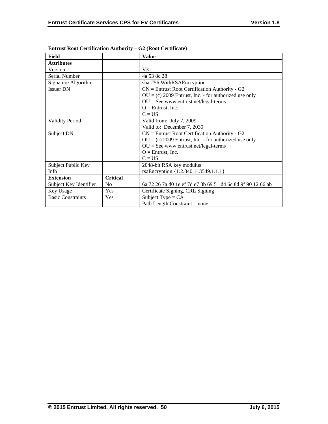| <b>Field</b>             |                 | <b>Value</b>                                                |  |  |
|--------------------------|-----------------|-------------------------------------------------------------|--|--|
| <b>Attributes</b>        |                 |                                                             |  |  |
| Version                  |                 | $V_3$                                                       |  |  |
| Serial Number            |                 | 4a 53 8c 28                                                 |  |  |
| Signature Algorithm      |                 | sha-256 WithRSAEncryption                                   |  |  |
| <b>Issuer DN</b>         |                 | $CN =$ Entrust Root Certification Authority - G2            |  |  |
|                          |                 | $OU = (c) 2009$ Entrust, Inc. - for authorized use only     |  |  |
|                          |                 | $OU = See$ www.entrust.net/legal-terms                      |  |  |
|                          |                 | $O =$ Entrust, Inc.                                         |  |  |
|                          |                 | $C = US$                                                    |  |  |
| <b>Validity Period</b>   |                 | Valid from: July 7, 2009                                    |  |  |
|                          |                 | Valid to: December 7, 2030                                  |  |  |
| Subject DN               |                 | $CN =$ Entrust Root Certification Authority - G2            |  |  |
|                          |                 | $OU = (c) 2009$ Entrust, Inc. - for authorized use only     |  |  |
|                          |                 | $OU = See$ www.entrust.net/legal-terms                      |  |  |
|                          |                 | $O =$ Entrust, Inc.                                         |  |  |
|                          |                 | $C = US$                                                    |  |  |
| Subject Public Key       |                 | 2048-bit RSA key modulus                                    |  |  |
| Info                     |                 | rsaEncryption {1.2.840.113549.1.1.1}                        |  |  |
| <b>Extension</b>         | <b>Critical</b> |                                                             |  |  |
| Subject Key Identifier   | N <sub>0</sub>  | 6a 72 26 7a d0 1e ef 7d e7 3b 69 51 d4 6c 8d 9f 90 12 66 ab |  |  |
| Key Usage                | Yes             | Certificate Signing, CRL Signing                            |  |  |
| <b>Basic Constraints</b> | Yes             | Subject Type = $CA$                                         |  |  |
|                          |                 | Path Length Constraint $=$ none                             |  |  |

**Entrust Root Certification Authority – G2 (Root Certificate)**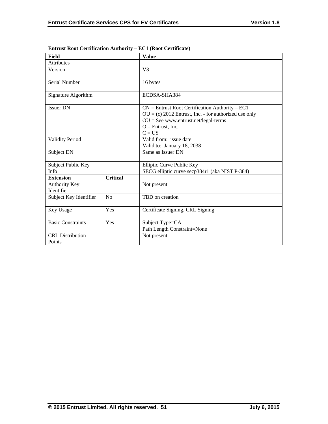| <b>Field</b>                       |                 | <b>Value</b>                                                                                                                                                                              |
|------------------------------------|-----------------|-------------------------------------------------------------------------------------------------------------------------------------------------------------------------------------------|
| <b>Attributes</b>                  |                 |                                                                                                                                                                                           |
| Version                            |                 | V <sub>3</sub>                                                                                                                                                                            |
| Serial Number                      |                 | 16 bytes                                                                                                                                                                                  |
| Signature Algorithm                |                 | ECDSA-SHA384                                                                                                                                                                              |
| <b>Issuer DN</b>                   |                 | $CN =$ Entrust Root Certification Authority – EC1<br>$OU = (c) 2012$ Entrust, Inc. - for authorized use only<br>$OU = See$ www.entrust.net/legal-terms<br>$O =$ Entrust, Inc.<br>$C = US$ |
| <b>Validity Period</b>             |                 | Valid from: issue date<br>Valid to: January 18, 2038                                                                                                                                      |
| Subject DN                         |                 | Same as Issuer DN                                                                                                                                                                         |
| Subject Public Key<br>Info         |                 | Elliptic Curve Public Key<br>SECG elliptic curve secp384r1 (aka NIST P-384)                                                                                                               |
| <b>Extension</b>                   | <b>Critical</b> |                                                                                                                                                                                           |
| <b>Authority Key</b><br>Identifier |                 | Not present                                                                                                                                                                               |
| Subject Key Identifier             | No              | TBD on creation                                                                                                                                                                           |
| Key Usage                          | Yes             | Certificate Signing, CRL Signing                                                                                                                                                          |
| <b>Basic Constraints</b>           | Yes             | Subject Type=CA<br>Path Length Constraint=None                                                                                                                                            |
| <b>CRL</b> Distribution<br>Points  |                 | Not present                                                                                                                                                                               |

# **Entrust Root Certification Authority – EC1 (Root Certificate)**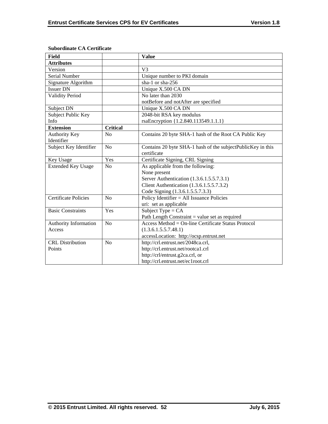| <b>Field</b>                |                 | <b>Value</b>                                                |
|-----------------------------|-----------------|-------------------------------------------------------------|
| <b>Attributes</b>           |                 |                                                             |
| Version                     |                 | V <sub>3</sub>                                              |
| Serial Number               |                 | Unique number to PKI domain                                 |
| Signature Algorithm         |                 | sha-1 or sha-256                                            |
| <b>Issuer DN</b>            |                 | Unique X.500 CA DN                                          |
| <b>Validity Period</b>      |                 | No later than 2030                                          |
|                             |                 | notBefore and notAfter are specified                        |
| Subject DN                  |                 | Unique X.500 CA DN                                          |
| Subject Public Key          |                 | 2048-bit RSA key modulus                                    |
| Info                        |                 | rsaEncryption {1.2.840.113549.1.1.1}                        |
| <b>Extension</b>            | <b>Critical</b> |                                                             |
| <b>Authority Key</b>        | No              | Contains 20 byte SHA-1 hash of the Root CA Public Key       |
| Identifier                  |                 |                                                             |
| Subject Key Identifier      | No              | Contains 20 byte SHA-1 hash of the subjectPublicKey in this |
|                             |                 | certificate                                                 |
| Key Usage                   | Yes             | Certificate Signing, CRL Signing                            |
| <b>Extended Key Usage</b>   | N <sub>0</sub>  | As applicable from the following:                           |
|                             |                 | None present                                                |
|                             |                 | Server Authentication (1.3.6.1.5.5.7.3.1)                   |
|                             |                 | Client Authentication (1.3.6.1.5.5.7.3.2)                   |
|                             |                 | Code Signing (1.3.6.1.5.5.7.3.3)                            |
| <b>Certificate Policies</b> | No              | Policy Identifier = All Issuance Policies                   |
|                             |                 | uri: set as applicable                                      |
| <b>Basic Constraints</b>    | Yes             | Subject Type = $CA$                                         |
|                             |                 | Path Length Constraint $=$ value set as required            |
| Authority Information       | No              | Access Method = On-line Certificate Status Protocol         |
| Access                      |                 | (1.3.6.1.5.5.7.48.1)                                        |
|                             |                 | accessLocation: http://ocsp.entrust.net                     |
| <b>CRL</b> Distribution     | No              | http://crl.entrust.net/2048ca.crl,                          |
| Points                      |                 | http://crl.entrust.net/rootca1.crl                          |
|                             |                 | http://crl/entrust.g2ca.crl, or                             |
|                             |                 | http://crl.entrust.net/ec1root.crl                          |

## **Subordinate CA Certificate**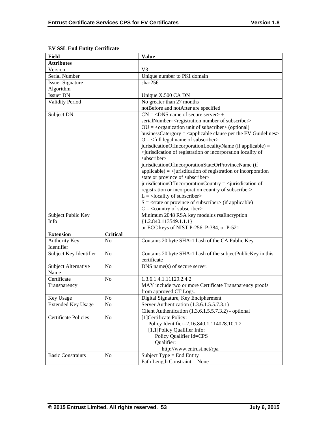| <b>Field</b>                |                 | <b>Value</b>                                                                                          |
|-----------------------------|-----------------|-------------------------------------------------------------------------------------------------------|
| <b>Attributes</b>           |                 |                                                                                                       |
| Version                     |                 | V <sub>3</sub>                                                                                        |
| Serial Number               |                 | Unique number to PKI domain                                                                           |
| <b>Issuer Signature</b>     |                 | $sha-256$                                                                                             |
| Algorithm                   |                 |                                                                                                       |
| <b>Issuer DN</b>            |                 | Unique X.500 CA DN                                                                                    |
| <b>Validity Period</b>      |                 | No greater than 27 months                                                                             |
|                             |                 | notBefore and notAfter are specified                                                                  |
| Subject DN                  |                 | $CN = <$ DNS name of secure server> +                                                                 |
|                             |                 | serialNumber= <registration number="" of="" subscriber=""></registration>                             |
|                             |                 | $OU = corganization unit of subscripter > (optional)$                                                 |
|                             |                 | businessCatergory = <applicable clause="" ev="" guidelines="" per="" the=""></applicable>             |
|                             |                 | $O = \left\langle \text{full legal name of subscripter} \right\rangle$                                |
|                             |                 | jurisdicationOfIncorporationLocalityName (if applicable) =                                            |
|                             |                 | <jurisdication incorporation="" locality="" of="" of<="" or="" registration="" td=""></jurisdication> |
|                             |                 | subscriber>                                                                                           |
|                             |                 | jurisdicationOfIncorporationStateOrProvinceName (if                                                   |
|                             |                 | $applicable) = \langle$ iurisdication of registration or incorporation                                |
|                             |                 | state or province of subscriber>                                                                      |
|                             |                 | jurisdicationOfIncorporationCountry = $\le$ jurisdication of                                          |
|                             |                 | registration or incorporation country of subscriber>                                                  |
|                             |                 | $L =$ <locality of="" subscriber=""></locality>                                                       |
|                             |                 | $S = \text{state}$ or province of subscriber> (if applicable)                                         |
|                             |                 | $C = \langle$ country of subscriber>                                                                  |
| Subject Public Key          |                 | Minimum 2048 RSA key modulus rsaEncryption                                                            |
| Info                        |                 | ${1.2.840.113549.1.1.1}$                                                                              |
|                             |                 | or ECC keys of NIST P-256, P-384, or P-521                                                            |
| <b>Extension</b>            | <b>Critical</b> |                                                                                                       |
| <b>Authority Key</b>        | N <sub>0</sub>  | Contains 20 byte SHA-1 hash of the CA Public Key                                                      |
| Identifier                  |                 |                                                                                                       |
| Subject Key Identifier      | N <sub>0</sub>  | Contains 20 byte SHA-1 hash of the subjectPublicKey in this                                           |
|                             |                 | certificate                                                                                           |
| Subject Alternative         | N <sub>o</sub>  | DNS name(s) of secure server.                                                                         |
| Name                        |                 |                                                                                                       |
| Certificate                 | N <sub>o</sub>  | 1.3.6.1.4.1.11129.2.4.2                                                                               |
| Transparency                |                 | MAY include two or more Certificate Transparency proofs                                               |
|                             |                 | from approved CT Logs.                                                                                |
| Key Usage                   | N <sub>o</sub>  | Digital Signature, Key Encipherment                                                                   |
| <b>Extended Key Usage</b>   | No              | Server Authentication (1.3.6.1.5.5.7.3.1)                                                             |
|                             |                 | Client Authentication (1.3.6.1.5.5.7.3.2) - optional                                                  |
| <b>Certificate Policies</b> | No              | [1] Certificate Policy:                                                                               |
|                             |                 | Policy Identifier=2.16.840.1.114028.10.1.2                                                            |
|                             |                 | [1,1] Policy Qualifier Info:                                                                          |
|                             |                 | Policy Qualifier Id=CPS                                                                               |
|                             |                 | Qualifier:                                                                                            |
|                             |                 | http://www.entrust.net/rpa                                                                            |
| <b>Basic Constraints</b>    | N <sub>o</sub>  | Subject Type = End Entity                                                                             |
|                             |                 | Path Length Constraint = None                                                                         |

# **EV SSL End Entity Certificate**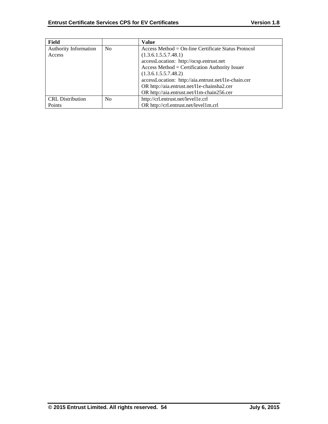| Field                   |                | <b>Value</b>                                         |
|-------------------------|----------------|------------------------------------------------------|
| Authority Information   | N <sub>0</sub> | $Access Method = On-line Centlicate Status Protocol$ |
| Access                  |                | (1.3.6.1.5.5.7.48.1)                                 |
|                         |                | accessLocation: http://ocsp.entrust.net              |
|                         |                | $Access Method = Certification Authority Issuer$     |
|                         |                | (1.3.6.1.5.5.7.48.2)                                 |
|                         |                | accessLocation: http://aia.entrust.net/l1e-chain.cer |
|                         |                | OR http://aia.entrust.net/l1e-chainsha2.cer          |
|                         |                | OR http://aia.entrust.net/11m-chain256.cer           |
| <b>CRL</b> Distribution | N <sub>0</sub> | http://crl.entrust.net/level1e.crl                   |
| Points                  |                | OR http://crl.entrust.net/level1m.crl                |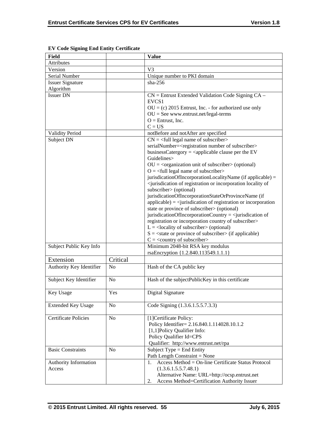| <b>Field</b>                    |                | <b>Value</b>                                                                                                                                                                                                                                                                                                                                                                                                                                                                                                                                                                                                                                                                                                                                                                                                                                                                                                                                                                                                                                                                                                                    |
|---------------------------------|----------------|---------------------------------------------------------------------------------------------------------------------------------------------------------------------------------------------------------------------------------------------------------------------------------------------------------------------------------------------------------------------------------------------------------------------------------------------------------------------------------------------------------------------------------------------------------------------------------------------------------------------------------------------------------------------------------------------------------------------------------------------------------------------------------------------------------------------------------------------------------------------------------------------------------------------------------------------------------------------------------------------------------------------------------------------------------------------------------------------------------------------------------|
| Attributes                      |                |                                                                                                                                                                                                                                                                                                                                                                                                                                                                                                                                                                                                                                                                                                                                                                                                                                                                                                                                                                                                                                                                                                                                 |
| Version                         |                | V <sub>3</sub>                                                                                                                                                                                                                                                                                                                                                                                                                                                                                                                                                                                                                                                                                                                                                                                                                                                                                                                                                                                                                                                                                                                  |
| Serial Number                   |                | Unique number to PKI domain                                                                                                                                                                                                                                                                                                                                                                                                                                                                                                                                                                                                                                                                                                                                                                                                                                                                                                                                                                                                                                                                                                     |
| <b>Issuer Signature</b>         |                | $sha-256$                                                                                                                                                                                                                                                                                                                                                                                                                                                                                                                                                                                                                                                                                                                                                                                                                                                                                                                                                                                                                                                                                                                       |
| Algorithm                       |                |                                                                                                                                                                                                                                                                                                                                                                                                                                                                                                                                                                                                                                                                                                                                                                                                                                                                                                                                                                                                                                                                                                                                 |
| <b>Issuer DN</b>                |                | $CN =$ Entrust Extended Validation Code Signing $CA -$<br>EVCS <sub>1</sub><br>$OU = (c) 2015$ Entrust, Inc. - for authorized use only<br>$OU = See$ www.entrust.net/legal-terms<br>$O =$ Entrust, Inc.<br>$C = US$                                                                                                                                                                                                                                                                                                                                                                                                                                                                                                                                                                                                                                                                                                                                                                                                                                                                                                             |
| <b>Validity Period</b>          |                | notBefore and notAfter are specified                                                                                                                                                                                                                                                                                                                                                                                                                                                                                                                                                                                                                                                                                                                                                                                                                                                                                                                                                                                                                                                                                            |
| Subject DN                      |                | $CN =$ <full legal="" name="" of="" subscriber=""><br/>serialNumber=<registration number="" of="" subscriber=""><br/>businessCatergory = <math>\langle</math>applicable clause per the EV<br/>Guidelines&gt;<br/><math>OU = corganization unit of subscripts (optional)</math><br/><math>Q = \text{full legal name of subscriber}</math><br/>jurisdicationOfIncorporationLocalityName (if applicable) =<br/><jurisdication incorporation="" locality="" of="" of<br="" or="" registration="">subscriber&gt; (optional)<br/>jurisdicationOfIncorporationStateOrProvinceName (if<br/><math>applicable) = \langle</math>jurisdication of registration or incorporation<br/>state or province of subscriber&gt; (optional)<br/>jurisdicationOfIncorporationCountry = <math>\le</math>jurisdication of<br/>registration or incorporation country of subscriber&gt;<br/><math>L =</math> <locality of="" subscriber=""> (optional)<br/><math>S =</math> <state of="" or="" province="" subscriber=""> (if applicable)<br/><math>C = \langle</math> country of subscriber&gt;</state></locality></jurisdication></registration></full> |
| Subject Public Key Info         |                | Minimum 2048-bit RSA key modulus<br>rsaEncryption {1.2.840.113549.1.1.1}                                                                                                                                                                                                                                                                                                                                                                                                                                                                                                                                                                                                                                                                                                                                                                                                                                                                                                                                                                                                                                                        |
| Extension                       | Critical       |                                                                                                                                                                                                                                                                                                                                                                                                                                                                                                                                                                                                                                                                                                                                                                                                                                                                                                                                                                                                                                                                                                                                 |
| Authority Key Identifier        | N <sub>o</sub> | Hash of the CA public key                                                                                                                                                                                                                                                                                                                                                                                                                                                                                                                                                                                                                                                                                                                                                                                                                                                                                                                                                                                                                                                                                                       |
| Subject Key Identifier          | N <sub>o</sub> | Hash of the subjectPublicKey in this certificate                                                                                                                                                                                                                                                                                                                                                                                                                                                                                                                                                                                                                                                                                                                                                                                                                                                                                                                                                                                                                                                                                |
| Key Usage                       | Yes            | Digital Signature                                                                                                                                                                                                                                                                                                                                                                                                                                                                                                                                                                                                                                                                                                                                                                                                                                                                                                                                                                                                                                                                                                               |
| <b>Extended Key Usage</b>       | N <sub>0</sub> | Code Signing (1.3.6.1.5.5.7.3.3)                                                                                                                                                                                                                                                                                                                                                                                                                                                                                                                                                                                                                                                                                                                                                                                                                                                                                                                                                                                                                                                                                                |
| <b>Certificate Policies</b>     | N <sub>o</sub> | [1]Certificate Policy:<br>Policy Identifier= 2.16.840.1.114028.10.1.2<br>[1,1] Policy Qualifier Info:<br>Policy Qualifier Id=CPS<br>Qualifier: http://www.entrust.net/rpa                                                                                                                                                                                                                                                                                                                                                                                                                                                                                                                                                                                                                                                                                                                                                                                                                                                                                                                                                       |
| <b>Basic Constraints</b>        | N <sub>o</sub> | Subject Type = End Entity<br>Path Length Constraint = None                                                                                                                                                                                                                                                                                                                                                                                                                                                                                                                                                                                                                                                                                                                                                                                                                                                                                                                                                                                                                                                                      |
| Authority Information<br>Access |                | Access Method = On-line Certificate Status Protocol<br>1.<br>(1.3.6.1.5.5.7.48.1)<br>Alternative Name: URL=http://ocsp.entrust.net<br>Access Method=Certification Authority Issuer<br>2.                                                                                                                                                                                                                                                                                                                                                                                                                                                                                                                                                                                                                                                                                                                                                                                                                                                                                                                                        |

# **EV Code Signing End Entity Certificate**